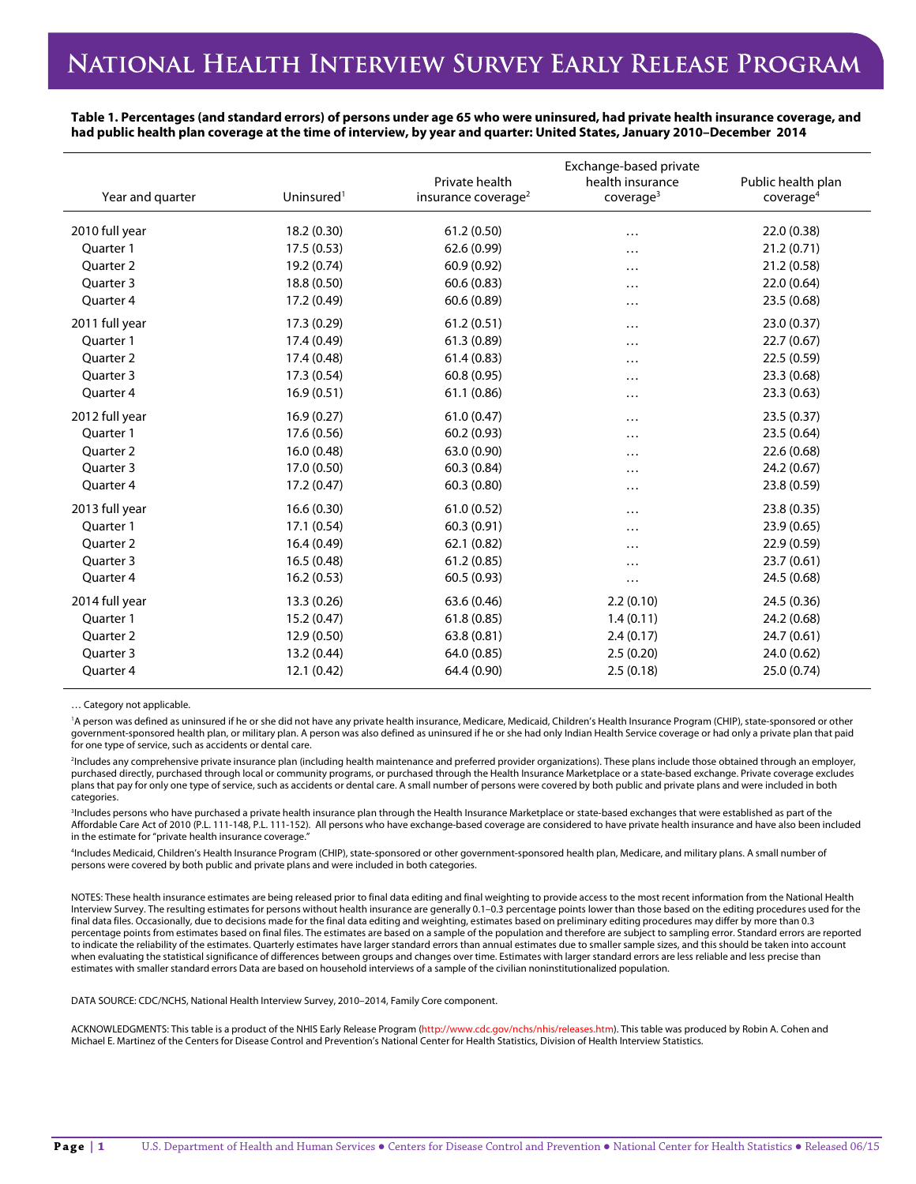**Table 1. Percentages (and standard errors) of persons under age 65 who were uninsured, had private health insurance coverage, and had public health plan coverage at the time of interview, by year and quarter: United States, January 2010–December 2014**

| Year and quarter     | Uninsured <sup>1</sup> | Private health<br>insurance coverage <sup>2</sup> | Exchange-based private<br>health insurance<br>coverage <sup>3</sup> | Public health plan<br>coverage <sup>4</sup> |
|----------------------|------------------------|---------------------------------------------------|---------------------------------------------------------------------|---------------------------------------------|
| 2010 full year       | 18.2 (0.30)            | 61.2(0.50)                                        | $\cdots$                                                            | 22.0 (0.38)                                 |
| Quarter 1            | 17.5(0.53)             | 62.6 (0.99)                                       | $\cdots$                                                            | 21.2(0.71)                                  |
| Quarter 2            | 19.2 (0.74)            | 60.9 (0.92)                                       | $\cdots$                                                            | 21.2(0.58)                                  |
| Ouarter <sub>3</sub> | 18.8 (0.50)            | 60.6(0.83)                                        | $\cdots$                                                            | 22.0 (0.64)                                 |
| Quarter 4            | 17.2 (0.49)            | 60.6(0.89)                                        | .                                                                   | 23.5(0.68)                                  |
| 2011 full year       | 17.3 (0.29)            | 61.2(0.51)                                        | .                                                                   | 23.0 (0.37)                                 |
| Quarter 1            | 17.4 (0.49)            | 61.3(0.89)                                        | .                                                                   | 22.7(0.67)                                  |
| Quarter 2            | 17.4 (0.48)            | 61.4(0.83)                                        | .                                                                   | 22.5(0.59)                                  |
| Ouarter <sub>3</sub> | 17.3 (0.54)            | 60.8(0.95)                                        |                                                                     | 23.3(0.68)                                  |
| Quarter 4            | 16.9(0.51)             | 61.1(0.86)                                        |                                                                     | 23.3(0.63)                                  |
| 2012 full year       | 16.9(0.27)             | 61.0(0.47)                                        | .                                                                   | 23.5(0.37)                                  |
| Quarter 1            | 17.6 (0.56)            | 60.2(0.93)                                        | .                                                                   | 23.5(0.64)                                  |
| Quarter 2            | 16.0(0.48)             | 63.0 (0.90)                                       | .                                                                   | 22.6 (0.68)                                 |
| Quarter 3            | 17.0 (0.50)            | 60.3 (0.84)                                       | .                                                                   | 24.2 (0.67)                                 |
| Quarter 4            | 17.2 (0.47)            | 60.3(0.80)                                        | .                                                                   | 23.8 (0.59)                                 |
| 2013 full year       | 16.6(0.30)             | 61.0(0.52)                                        | .                                                                   | 23.8(0.35)                                  |
| Quarter 1            | 17.1 (0.54)            | 60.3(0.91)                                        | .                                                                   | 23.9(0.65)                                  |
| Quarter 2            | 16.4(0.49)             | 62.1(0.82)                                        | .                                                                   | 22.9 (0.59)                                 |
| Quarter 3            | 16.5(0.48)             | 61.2(0.85)                                        | .                                                                   | 23.7(0.61)                                  |
| Quarter 4            | 16.2(0.53)             | 60.5(0.93)                                        | $\cdots$                                                            | 24.5 (0.68)                                 |
| 2014 full year       | 13.3 (0.26)            | 63.6 (0.46)                                       | 2.2(0.10)                                                           | 24.5 (0.36)                                 |
| Ouarter 1            | 15.2(0.47)             | 61.8(0.85)                                        | 1.4(0.11)                                                           | 24.2 (0.68)                                 |
| Ouarter <sub>2</sub> | 12.9 (0.50)            | 63.8(0.81)                                        | 2.4(0.17)                                                           | 24.7(0.61)                                  |
| Quarter 3            | 13.2 (0.44)            | 64.0 (0.85)                                       | 2.5(0.20)                                                           | 24.0 (0.62)                                 |
| Quarter 4            | 12.1(0.42)             | 64.4 (0.90)                                       | 2.5(0.18)                                                           | 25.0 (0.74)                                 |

… Category not applicable.

'A person was defined as uninsured if he or she did not have any private health insurance, Medicare, Medicaid, Children's Health Insurance Program (CHIP), state-sponsored or other government-sponsored health plan, or military plan. A person was also defined as uninsured if he or she had only Indian Health Service coverage or had only a private plan that paid for one type of service, such as accidents or dental care.

2 Includes any comprehensive private insurance plan (including health maintenance and preferred provider organizations). These plans include those obtained through an employer, purchased directly, purchased through local or community programs, or purchased through the Health Insurance Marketplace or a state-based exchange. Private coverage excludes plans that pay for only one type of service, such as accidents or dental care. A small number of persons were covered by both public and private plans and were included in both **categories** 

3 Includes persons who have purchased a private health insurance plan through the Health Insurance Marketplace or state-based exchanges that were established as part of the Affordable Care Act of 2010 (P.L. 111-148, P.L. 111-152). All persons who have exchange-based coverage are considered to have private health insurance and have also been included in the estimate for "private health insurance coverage."

4 Includes Medicaid, Children's Health Insurance Program (CHIP), state-sponsored or other government-sponsored health plan, Medicare, and military plans. A small number of persons were covered by both public and private plans and were included in both categories.

NOTES: These health insurance estimates are being released prior to final data editing and final weighting to provide access to the most recent information from the National Health Interview Survey. The resulting estimates for persons without health insurance are generally 0.1–0.3 percentage points lower than those based on the editing procedures used for the final data files. Occasionally, due to decisions made for the final data editing and weighting, estimates based on preliminary editing procedures may differ by more than 0.3 percentage points from estimates based on final files. The estimates are based on a sample of the population and therefore are subject to sampling error. Standard errors are reported to indicate the reliability of the estimates. Quarterly estimates have larger standard errors than annual estimates due to smaller sample sizes, and this should be taken into account when evaluating the statistical significance of differences between groups and changes over time. Estimates with larger standard errors are less reliable and less precise than estimates with smaller standard errors Data are based on household interviews of a sample of the civilian noninstitutionalized population.

DATA SOURCE: CDC/NCHS, National Health Interview Survey, 2010–2014, Family Core component.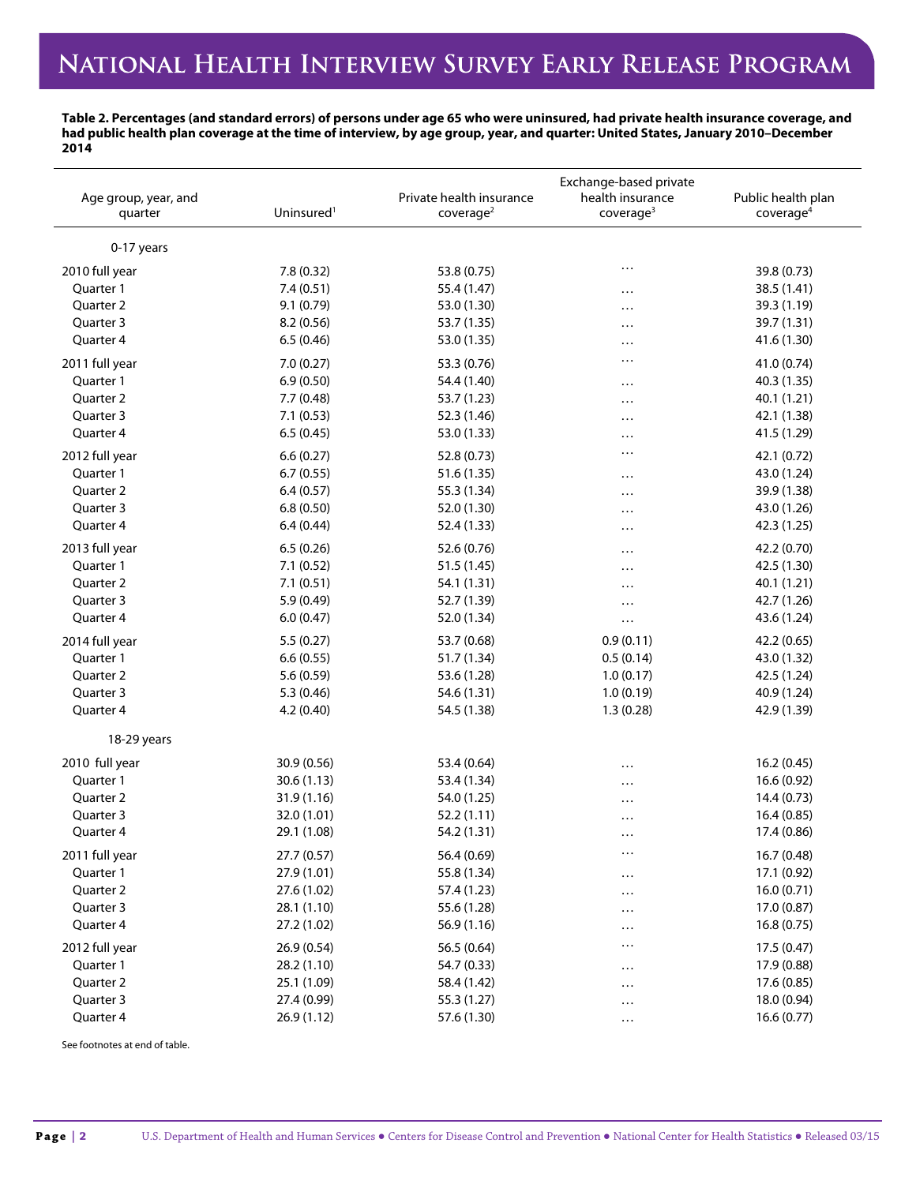**Table 2. Percentages (and standard errors) of persons under age 65 who were uninsured, had private health insurance coverage, and had public health plan coverage at the time of interview, by age group, year, and quarter: United States, January 2010–December 2014**

| Age group, year, and<br>quarter | Uninsured <sup>1</sup> | Private health insurance<br>coverage <sup>2</sup> | Exchange-based private<br>health insurance<br>coverage <sup>3</sup> | Public health plan<br>coverage <sup>4</sup> |
|---------------------------------|------------------------|---------------------------------------------------|---------------------------------------------------------------------|---------------------------------------------|
| 0-17 years                      |                        |                                                   |                                                                     |                                             |
| 2010 full year                  | 7.8 (0.32)             | 53.8 (0.75)                                       |                                                                     | 39.8 (0.73)                                 |
| Quarter 1                       | 7.4(0.51)              | 55.4 (1.47)                                       |                                                                     | 38.5 (1.41)                                 |
| Quarter 2                       | 9.1 (0.79)             | 53.0 (1.30)                                       | <br>.                                                               | 39.3 (1.19)                                 |
| Quarter 3                       | 8.2(0.56)              | 53.7 (1.35)                                       | $\cdots$                                                            | 39.7 (1.31)                                 |
| Quarter 4                       | 6.5(0.46)              | 53.0 (1.35)                                       | $\cdots$                                                            | 41.6 (1.30)                                 |
| 2011 full year                  | 7.0(0.27)              | 53.3 (0.76)                                       | $\cdots$                                                            | 41.0 (0.74)                                 |
| Quarter 1                       | 6.9(0.50)              | 54.4 (1.40)                                       | $\cdots$                                                            | 40.3 (1.35)                                 |
| Quarter 2                       | 7.7 (0.48)             | 53.7 (1.23)                                       | $\cdots$                                                            | 40.1 (1.21)                                 |
| Quarter 3                       | 7.1(0.53)              | 52.3 (1.46)                                       | $\cdots$                                                            | 42.1 (1.38)                                 |
| Quarter 4                       | 6.5(0.45)              | 53.0 (1.33)                                       | $\cdots$                                                            | 41.5 (1.29)                                 |
| 2012 full year                  | 6.6(0.27)              | 52.8 (0.73)                                       | $\cdots$                                                            | 42.1 (0.72)                                 |
| Quarter 1                       | 6.7(0.55)              | 51.6 (1.35)                                       | $\cdots$                                                            | 43.0 (1.24)                                 |
| Quarter 2                       | 6.4(0.57)              | 55.3 (1.34)                                       | .                                                                   | 39.9 (1.38)                                 |
| Quarter 3                       | 6.8(0.50)              | 52.0 (1.30)                                       | $\cdots$                                                            | 43.0 (1.26)                                 |
| Quarter 4                       | 6.4(0.44)              | 52.4 (1.33)                                       | .                                                                   | 42.3 (1.25)                                 |
| 2013 full year                  | 6.5(0.26)              | 52.6 (0.76)                                       | $\cdots$                                                            | 42.2 (0.70)                                 |
| Quarter 1                       | 7.1(0.52)              | 51.5 (1.45)                                       | $\cdots$                                                            | 42.5 (1.30)                                 |
| Quarter 2                       | 7.1(0.51)              | 54.1 (1.31)                                       | $\cdots$                                                            | 40.1 (1.21)                                 |
| Quarter 3                       | 5.9(0.49)              | 52.7 (1.39)                                       | $\cdots$                                                            | 42.7 (1.26)                                 |
| Quarter 4                       | 6.0(0.47)              | 52.0 (1.34)                                       | $\ldots$                                                            | 43.6 (1.24)                                 |
| 2014 full year                  | 5.5(0.27)              | 53.7 (0.68)                                       | 0.9(0.11)                                                           | 42.2 (0.65)                                 |
| Quarter 1                       | 6.6(0.55)              | 51.7 (1.34)                                       | 0.5(0.14)                                                           | 43.0 (1.32)                                 |
| Quarter 2                       | 5.6 (0.59)             | 53.6 (1.28)                                       | 1.0(0.17)                                                           | 42.5 (1.24)                                 |
| Quarter 3                       | 5.3 (0.46)             | 54.6 (1.31)                                       | 1.0(0.19)                                                           | 40.9 (1.24)                                 |
| Quarter 4                       | 4.2(0.40)              | 54.5 (1.38)                                       | 1.3(0.28)                                                           | 42.9 (1.39)                                 |
| 18-29 years                     |                        |                                                   |                                                                     |                                             |
| 2010 full year                  | 30.9 (0.56)            | 53.4 (0.64)                                       |                                                                     | 16.2 (0.45)                                 |
| Quarter 1                       | 30.6(1.13)             | 53.4 (1.34)                                       | $\cdots$                                                            | 16.6(0.92)                                  |
| Quarter 2                       | 31.9 (1.16)            | 54.0 (1.25)                                       |                                                                     | 14.4 (0.73)                                 |
| Quarter 3                       | 32.0 (1.01)            | 52.2 (1.11)                                       |                                                                     | 16.4 (0.85)                                 |
| Quarter 4                       | 29.1 (1.08)            | 54.2 (1.31)                                       |                                                                     | 17.4 (0.86)                                 |
| 2011 full year                  | 27.7 (0.57)            | 56.4 (0.69)                                       | $\cdots$                                                            | 16.7(0.48)                                  |
| Quarter 1                       | 27.9 (1.01)            | 55.8 (1.34)                                       | $\cdots$                                                            | 17.1 (0.92)                                 |
| Quarter 2                       | 27.6 (1.02)            | 57.4 (1.23)                                       | $\ldots$                                                            | 16.0(0.71)                                  |
| Quarter 3                       | 28.1 (1.10)            | 55.6 (1.28)                                       | $\cdots$                                                            | 17.0 (0.87)                                 |
| Quarter 4                       | 27.2 (1.02)            | 56.9 (1.16)                                       | $\cdots$                                                            | 16.8(0.75)                                  |
| 2012 full year                  | 26.9 (0.54)            | 56.5 (0.64)                                       | $\cdots$                                                            | 17.5 (0.47)                                 |
| Quarter 1                       | 28.2 (1.10)            | 54.7 (0.33)                                       | $\cdots$                                                            | 17.9 (0.88)                                 |
| Quarter 2                       | 25.1 (1.09)            | 58.4 (1.42)                                       | $\cdots$                                                            | 17.6 (0.85)                                 |
| Quarter 3                       | 27.4 (0.99)            | 55.3 (1.27)                                       | $\cdots$                                                            | 18.0 (0.94)                                 |
| Quarter 4                       | 26.9 (1.12)            | 57.6 (1.30)                                       | $\ldots$                                                            | 16.6(0.77)                                  |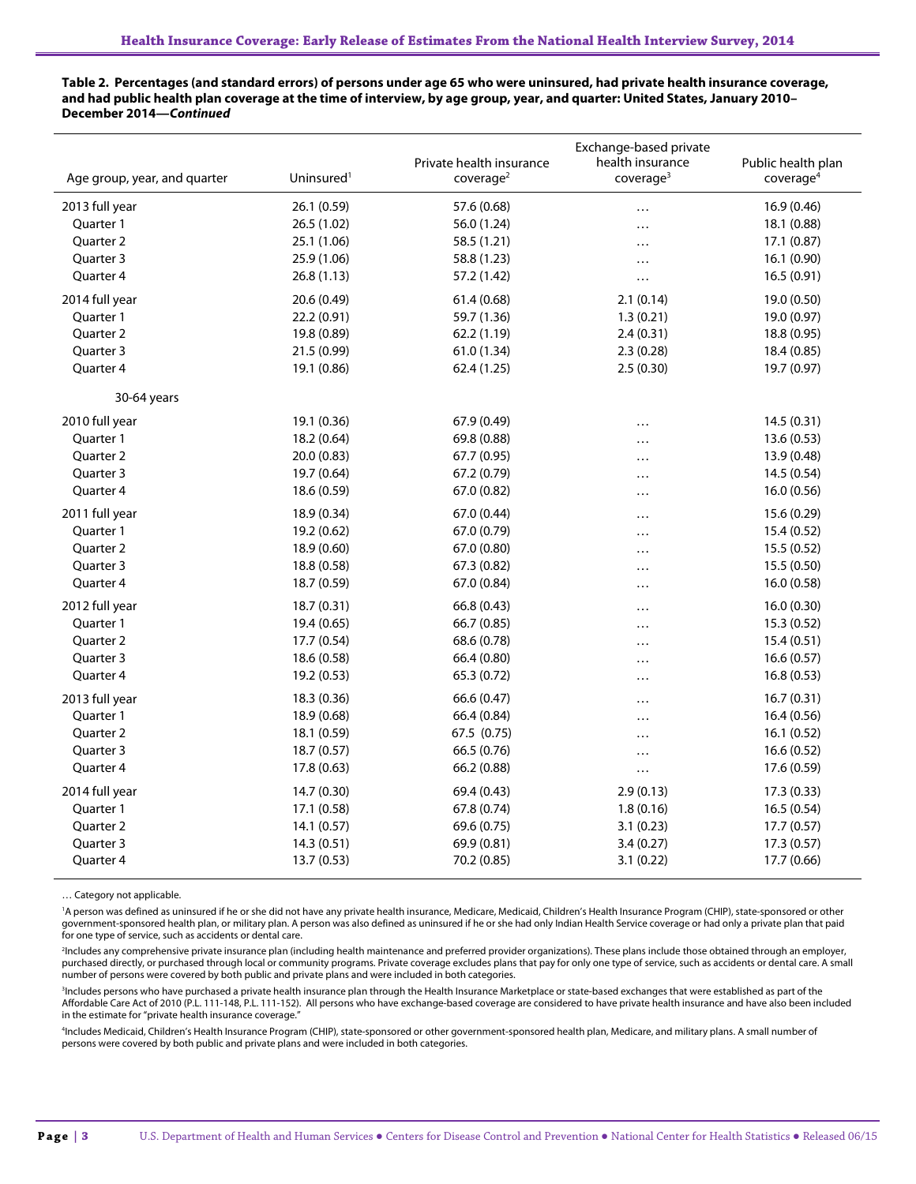### **Table 2. Percentages (and standard errors) of persons under age 65 who were uninsured, had private health insurance coverage, and had public health plan coverage at the time of interview, by age group, year, and quarter: United States, January 2010– December 2014—***Continued*

|                              |                        |                                                   | Exchange-based private                    |                                             |
|------------------------------|------------------------|---------------------------------------------------|-------------------------------------------|---------------------------------------------|
| Age group, year, and quarter | Uninsured <sup>1</sup> | Private health insurance<br>coverage <sup>2</sup> | health insurance<br>coverage <sup>3</sup> | Public health plan<br>coverage <sup>4</sup> |
|                              |                        |                                                   |                                           |                                             |
| 2013 full year               | 26.1 (0.59)            | 57.6 (0.68)                                       | .                                         | 16.9 (0.46)                                 |
| Quarter 1                    | 26.5 (1.02)            | 56.0 (1.24)                                       | .                                         | 18.1 (0.88)                                 |
| Quarter 2                    | 25.1 (1.06)            | 58.5 (1.21)                                       | .                                         | 17.1(0.87)                                  |
| Quarter 3                    | 25.9 (1.06)            | 58.8 (1.23)                                       | .                                         | 16.1 (0.90)                                 |
| Quarter 4                    | 26.8 (1.13)            | 57.2 (1.42)                                       | .                                         | 16.5(0.91)                                  |
| 2014 full year               | 20.6 (0.49)            | 61.4(0.68)                                        | 2.1(0.14)                                 | 19.0 (0.50)                                 |
| Quarter 1                    | 22.2 (0.91)            | 59.7 (1.36)                                       | 1.3(0.21)                                 | 19.0 (0.97)                                 |
| Quarter 2                    | 19.8 (0.89)            | 62.2(1.19)                                        | 2.4(0.31)                                 | 18.8 (0.95)                                 |
| Quarter 3                    | 21.5 (0.99)            | 61.0 (1.34)                                       | 2.3(0.28)                                 | 18.4 (0.85)                                 |
| Quarter 4                    | 19.1 (0.86)            | 62.4 (1.25)                                       | 2.5(0.30)                                 | 19.7 (0.97)                                 |
| 30-64 years                  |                        |                                                   |                                           |                                             |
| 2010 full year               | 19.1 (0.36)            | 67.9 (0.49)                                       | $\cdots$                                  | 14.5(0.31)                                  |
| Quarter 1                    | 18.2 (0.64)            | 69.8 (0.88)                                       | .                                         | 13.6(0.53)                                  |
| Quarter 2                    | 20.0(0.83)             | 67.7 (0.95)                                       | .                                         | 13.9 (0.48)                                 |
| Quarter 3                    | 19.7 (0.64)            | 67.2 (0.79)                                       | .                                         | 14.5 (0.54)                                 |
| Quarter 4                    | 18.6 (0.59)            | 67.0 (0.82)                                       | .                                         | 16.0 (0.56)                                 |
| 2011 full year               | 18.9 (0.34)            | 67.0 (0.44)                                       |                                           | 15.6 (0.29)                                 |
| Quarter 1                    | 19.2 (0.62)            | 67.0 (0.79)                                       | .                                         | 15.4 (0.52)                                 |
| Quarter 2                    | 18.9 (0.60)            | 67.0 (0.80)                                       | .                                         | 15.5 (0.52)                                 |
| Quarter 3                    | 18.8 (0.58)            | 67.3 (0.82)                                       | .                                         | 15.5 (0.50)                                 |
| Quarter 4                    | 18.7 (0.59)            | 67.0 (0.84)                                       | .                                         | 16.0 (0.58)                                 |
| 2012 full year               | 18.7(0.31)             | 66.8 (0.43)                                       | .                                         | 16.0(0.30)                                  |
| Quarter 1                    | 19.4 (0.65)            | 66.7 (0.85)                                       | .                                         | 15.3 (0.52)                                 |
| Quarter 2                    | 17.7 (0.54)            | 68.6 (0.78)                                       | $\cdots$                                  | 15.4(0.51)                                  |
| Quarter 3                    | 18.6 (0.58)            | 66.4 (0.80)                                       | .                                         | 16.6(0.57)                                  |
| Quarter 4                    | 19.2(0.53)             | 65.3 (0.72)                                       | .                                         | 16.8(0.53)                                  |
| 2013 full year               | 18.3 (0.36)            | 66.6 (0.47)                                       | $\cdots$                                  | 16.7(0.31)                                  |
| Quarter 1                    | 18.9 (0.68)            | 66.4 (0.84)                                       | .                                         | 16.4(0.56)                                  |
| Quarter 2                    | 18.1 (0.59)            | 67.5 (0.75)                                       | .                                         | 16.1 (0.52)                                 |
| Quarter 3                    | 18.7 (0.57)            | 66.5 (0.76)                                       | .                                         | 16.6 (0.52)                                 |
| Quarter 4                    | 17.8 (0.63)            | 66.2 (0.88)                                       | .                                         | 17.6 (0.59)                                 |
| 2014 full year               | 14.7 (0.30)            | 69.4 (0.43)                                       | 2.9(0.13)                                 | 17.3 (0.33)                                 |
| Quarter 1                    | 17.1 (0.58)            | 67.8 (0.74)                                       | 1.8(0.16)                                 | 16.5(0.54)                                  |
| Quarter 2                    | 14.1 (0.57)            | 69.6 (0.75)                                       | 3.1(0.23)                                 | 17.7 (0.57)                                 |
| Quarter 3                    | 14.3(0.51)             | 69.9 (0.81)                                       | 3.4(0.27)                                 | 17.3 (0.57)                                 |
| Quarter 4                    | 13.7 (0.53)            | 70.2 (0.85)                                       | 3.1(0.22)                                 | 17.7 (0.66)                                 |

… Category not applicable.

<sup>1</sup>A person was defined as uninsured if he or she did not have any private health insurance, Medicare, Medicaid, Children's Health Insurance Program (CHIP), state-sponsored or other government-sponsored health plan, or military plan. A person was also defined as uninsured if he or she had only Indian Health Service coverage or had only a private plan that paid<br>for one type of service, such as accident

2 Includes any comprehensive private insurance plan (including health maintenance and preferred provider organizations). These plans include those obtained through an employer, purchased directly, or purchased through local or community programs. Private coverage excludes plans that pay for only one type of service, such as accidents or dental care. A small number of persons were covered by both public and private plans and were included in both categories.

<sup>3</sup>Includes persons who have purchased a private health insurance plan through the Health Insurance Marketplace or state-based exchanges that were established as part of the Affordable Care Act of 2010 (P.L. 111-148, P.L. 111-152). All persons who have exchange-based coverage are considered to have private health insurance and have also been included in the estimate for "private health insurance coverage."

4 Includes Medicaid, Children's Health Insurance Program (CHIP), state-sponsored or other government-sponsored health plan, Medicare, and military plans. A small number of persons were covered by both public and private plans and were included in both categories.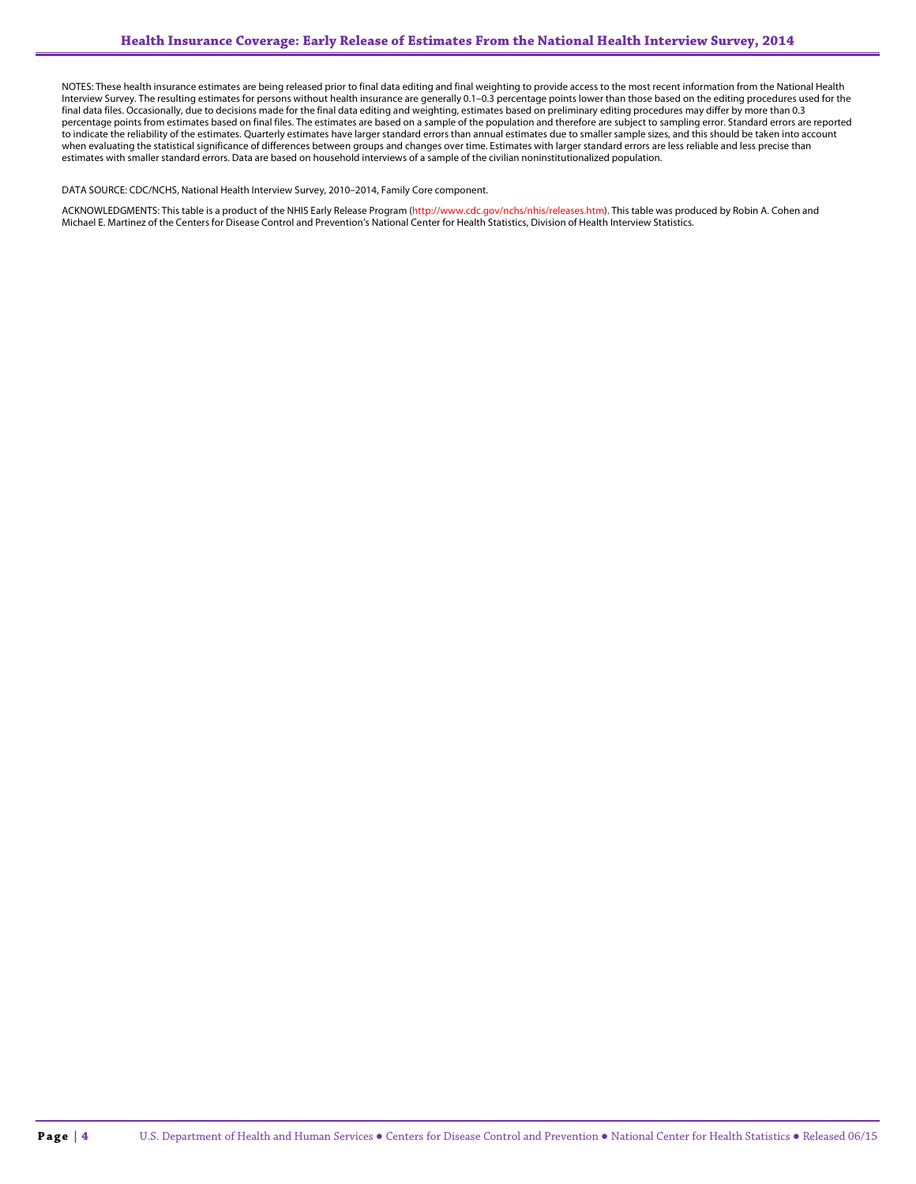NOTES: These health insurance estimates are being released prior to final data editing and final weighting to provide access to the most recent information from the National Health Interview Survey. The resulting estimates for persons without health insurance are generally 0.1–0.3 percentage points lower than those based on the editing procedures used for the final data files. Occasionally, due to decisions made for the final data editing and weighting, estimates based on preliminary editing procedures may differ by more than 0.3 percentage points from estimates based on final files. The estimates are based on a sample of the population and therefore are subject to sampling error. Standard errors are reported to indicate the reliability of the estimates. Quarterly estimates have larger standard errors than annual estimates due to smaller sample sizes, and this should be taken into account when evaluating the statistical significance of differences between groups and changes over time. Estimates with larger standard errors are less reliable and less precise than estimates with smaller standard errors. Data are based on household interviews of a sample of the civilian noninstitutionalized population.

#### DATA SOURCE: CDC/NCHS, National Health Interview Survey, 2010–2014, Family Core component.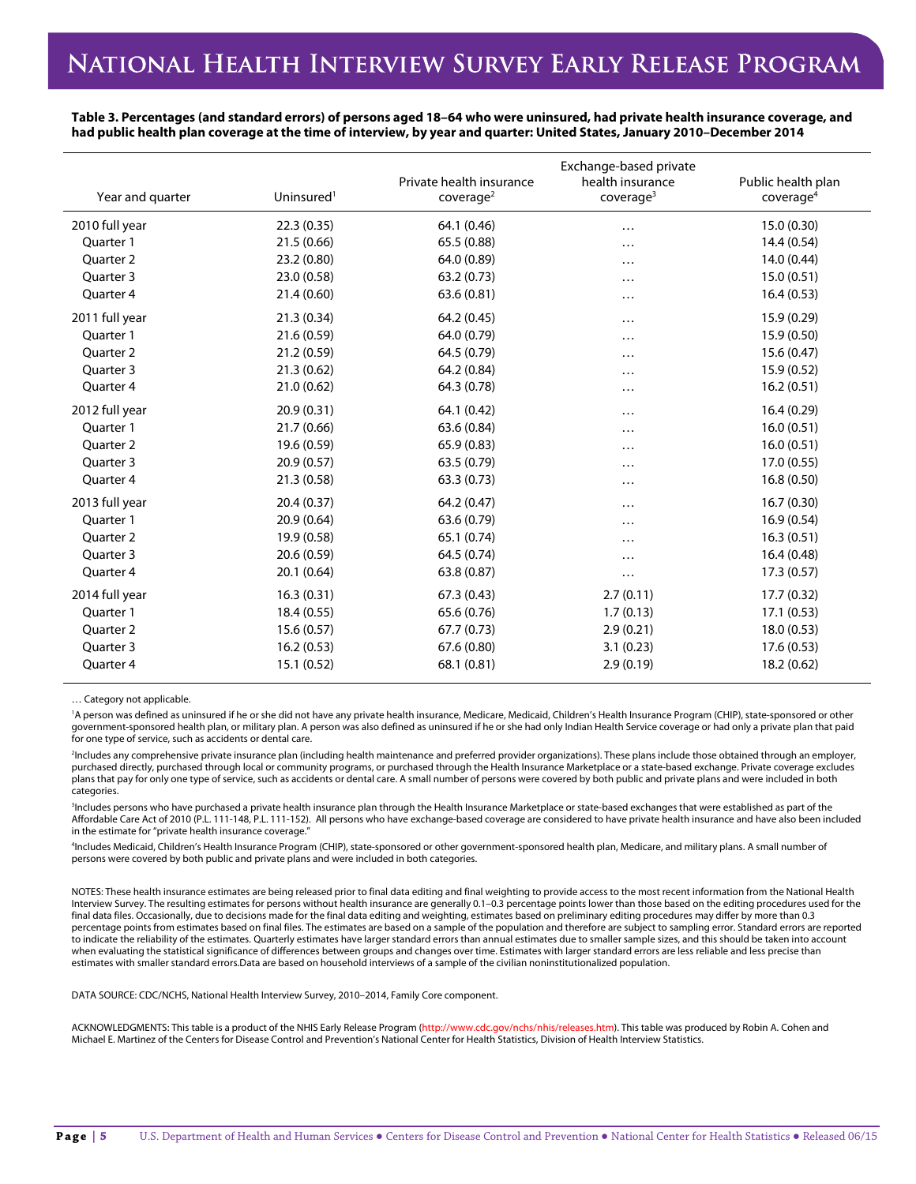**Table 3. Percentages (and standard errors) of persons aged 18–64 who were uninsured, had private health insurance coverage, and had public health plan coverage at the time of interview, by year and quarter: United States, January 2010–December 2014**

| Year and quarter     | Uninsured <sup>1</sup> | Private health insurance<br>cover aq <sup>2</sup> | Exchange-based private<br>health insurance<br>coverage <sup>3</sup> | Public health plan<br>coverage <sup>4</sup> |
|----------------------|------------------------|---------------------------------------------------|---------------------------------------------------------------------|---------------------------------------------|
| 2010 full year       | 22.3(0.35)             | 64.1 (0.46)                                       | .                                                                   | 15.0 (0.30)                                 |
| Quarter 1            | 21.5(0.66)             | 65.5 (0.88)                                       | .                                                                   | 14.4 (0.54)                                 |
| Ouarter <sub>2</sub> | 23.2 (0.80)            | 64.0 (0.89)                                       | .                                                                   | 14.0 (0.44)                                 |
| Quarter 3            | 23.0 (0.58)            | 63.2(0.73)                                        | $\cdots$                                                            | 15.0(0.51)                                  |
| Quarter 4            | 21.4(0.60)             | 63.6(0.81)                                        | $\cdots$                                                            | 16.4(0.53)                                  |
| 2011 full year       | 21.3(0.34)             | 64.2 (0.45)                                       | .                                                                   | 15.9 (0.29)                                 |
| Quarter 1            | 21.6(0.59)             | 64.0 (0.79)                                       | .                                                                   | 15.9 (0.50)                                 |
| Ouarter <sub>2</sub> | 21.2(0.59)             | 64.5 (0.79)                                       | .                                                                   | 15.6 (0.47)                                 |
| Ouarter 3            | 21.3(0.62)             | 64.2 (0.84)                                       | $\cdots$                                                            | 15.9(0.52)                                  |
| Quarter 4            | 21.0(0.62)             | 64.3 (0.78)                                       | $\cdots$                                                            | 16.2(0.51)                                  |
| 2012 full year       | 20.9(0.31)             | 64.1 (0.42)                                       | .                                                                   | 16.4(0.29)                                  |
| Quarter 1            | 21.7(0.66)             | 63.6 (0.84)                                       |                                                                     | 16.0(0.51)                                  |
| Quarter 2            | 19.6 (0.59)            | 65.9 (0.83)                                       | $\cdots$                                                            | 16.0(0.51)                                  |
| Quarter 3            | 20.9(0.57)             | 63.5 (0.79)                                       | .                                                                   | 17.0(0.55)                                  |
| Quarter 4            | 21.3(0.58)             | 63.3(0.73)                                        | $\cdots$                                                            | 16.8(0.50)                                  |
| 2013 full year       | 20.4(0.37)             | 64.2 (0.47)                                       | .                                                                   | 16.7(0.30)                                  |
| Quarter 1            | 20.9(0.64)             | 63.6 (0.79)                                       | $\cdots$                                                            | 16.9(0.54)                                  |
| Ouarter <sub>2</sub> | 19.9 (0.58)            | 65.1 (0.74)                                       | $\cdots$                                                            | 16.3(0.51)                                  |
| Quarter 3            | 20.6 (0.59)            | 64.5 (0.74)                                       | $\cdots$                                                            | 16.4(0.48)                                  |
| Quarter 4            | 20.1(0.64)             | 63.8 (0.87)                                       | $\cdots$                                                            | 17.3(0.57)                                  |
| 2014 full year       | 16.3(0.31)             | 67.3(0.43)                                        | 2.7(0.11)                                                           | 17.7 (0.32)                                 |
| Quarter 1            | 18.4(0.55)             | 65.6 (0.76)                                       | 1.7(0.13)                                                           | 17.1(0.53)                                  |
| Quarter 2            | 15.6(0.57)             | 67.7(0.73)                                        | 2.9(0.21)                                                           | 18.0(0.53)                                  |
| Quarter 3            | 16.2(0.53)             | 67.6 (0.80)                                       | 3.1(0.23)                                                           | 17.6 (0.53)                                 |
| Quarter 4            | 15.1 (0.52)            | 68.1 (0.81)                                       | 2.9(0.19)                                                           | 18.2 (0.62)                                 |

… Category not applicable.

<sup>1</sup>A person was defined as uninsured if he or she did not have any private health insurance, Medicare, Medicaid, Children's Health Insurance Program (CHIP), state-sponsored or other government-sponsored health plan, or military plan. A person was also defined as uninsured if he or she had only Indian Health Service coverage or had only a private plan that paid for one type of service, such as accidents or dental care.

2 Includes any comprehensive private insurance plan (including health maintenance and preferred provider organizations). These plans include those obtained through an employer, purchased directly, purchased through local or community programs, or purchased through the Health Insurance Marketplace or a state-based exchange. Private coverage excludes plans that pay for only one type of service, such as accidents or dental care. A small number of persons were covered by both public and private plans and were included in both categories.

3 Includes persons who have purchased a private health insurance plan through the Health Insurance Marketplace or state-based exchanges that were established as part of the Affordable Care Act of 2010 (P.L. 111-148, P.L. 111-152). All persons who have exchange-based coverage are considered to have private health insurance and have also been included in the estimate for "private health insurance coverage."

4 Includes Medicaid, Children's Health Insurance Program (CHIP), state-sponsored or other government-sponsored health plan, Medicare, and military plans. A small number of persons were covered by both public and private plans and were included in both categories.

NOTES: These health insurance estimates are being released prior to final data editing and final weighting to provide access to the most recent information from the National Health Interview Survey. The resulting estimates for persons without health insurance are generally 0.1–0.3 percentage points lower than those based on the editing procedures used for the final data files. Occasionally, due to decisions made for the final data editing and weighting, estimates based on preliminary editing procedures may differ by more than 0.3 percentage points from estimates based on final files. The estimates are based on a sample of the population and therefore are subject to sampling error. Standard errors are reported to indicate the reliability of the estimates. Quarterly estimates have larger standard errors than annual estimates due to smaller sample sizes, and this should be taken into account when evaluating the statistical significance of differences between groups and changes over time. Estimates with larger standard errors are less reliable and less precise than estimates with smaller standard errors.Data are based on household interviews of a sample of the civilian noninstitutionalized population.

DATA SOURCE: CDC/NCHS, National Health Interview Survey, 2010–2014, Family Core component.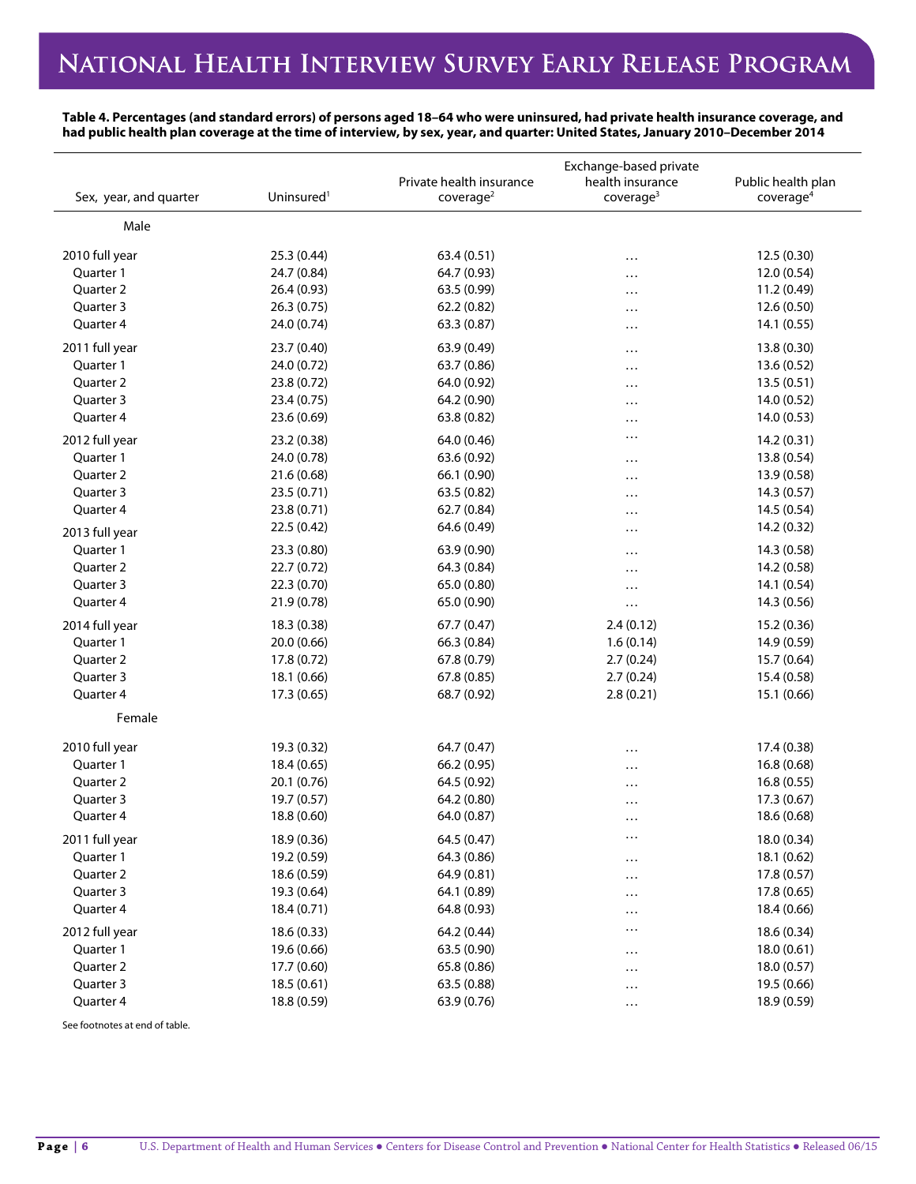**Table 4. Percentages (and standard errors) of persons aged 18–64 who were uninsured, had private health insurance coverage, and had public health plan coverage at the time of interview, by sex, year, and quarter: United States, January 2010–December 2014**

| Male<br>2010 full year<br>25.3 (0.44)<br>63.4 (0.51)<br>12.5 (0.30)<br>$\cdots$<br>Quarter 1<br>24.7 (0.84)<br>64.7 (0.93)<br>12.0 (0.54)<br>$\cdots$<br>26.4(0.93)<br>63.5 (0.99)<br>Quarter 2<br>11.2 (0.49)<br>$\cdots$<br>Quarter 3<br>26.3(0.75)<br>62.2 (0.82)<br>12.6 (0.50)<br>.<br>Quarter 4<br>24.0 (0.74)<br>63.3 (0.87)<br>14.1(0.55)<br>$\cdots$<br>2011 full year<br>23.7 (0.40)<br>63.9 (0.49)<br>13.8 (0.30)<br>$\cdots$<br>Quarter 1<br>24.0 (0.72)<br>63.7 (0.86)<br>13.6 (0.52)<br>$\cdots$<br>Quarter 2<br>23.8 (0.72)<br>64.0 (0.92)<br>13.5(0.51)<br>$\cdots$<br>Quarter 3<br>23.4 (0.75)<br>64.2 (0.90)<br>14.0 (0.52)<br>$\cdots$<br>Quarter 4<br>23.6 (0.69)<br>63.8 (0.82)<br>14.0 (0.53)<br>$\cdots$<br>$\cdots$<br>2012 full year<br>23.2 (0.38)<br>64.0 (0.46)<br>14.2 (0.31)<br>Quarter 1<br>24.0 (0.78)<br>63.6 (0.92)<br>13.8(0.54)<br>$\cdots$<br>Quarter 2<br>21.6 (0.68)<br>66.1 (0.90)<br>13.9 (0.58)<br>$\cdots$<br>Quarter 3<br>23.5 (0.71)<br>63.5 (0.82)<br>14.3(0.57)<br><br>23.8 (0.71)<br>62.7 (0.84)<br>14.5 (0.54)<br>Quarter 4<br>$\cdots$<br>22.5 (0.42)<br>64.6 (0.49)<br>14.2 (0.32)<br>.<br>2013 full year<br>Quarter 1<br>23.3(0.80)<br>63.9 (0.90)<br>14.3 (0.58)<br>$\cdots$<br>Quarter 2<br>22.7(0.72)<br>64.3 (0.84)<br>14.2 (0.58)<br>.<br>Quarter 3<br>22.3 (0.70)<br>65.0 (0.80)<br>14.1 (0.54)<br>$\cdots$<br>Quarter 4<br>21.9 (0.78)<br>65.0 (0.90)<br>14.3 (0.56)<br>$\cdots$<br>18.3(0.38)<br>67.7(0.47)<br>2.4(0.12)<br>15.2 (0.36)<br>2014 full year<br>Quarter 1<br>20.0 (0.66)<br>1.6(0.14)<br>66.3 (0.84)<br>14.9 (0.59)<br>Quarter 2<br>17.8 (0.72)<br>67.8 (0.79)<br>2.7(0.24)<br>15.7 (0.64)<br>Quarter 3<br>18.1 (0.66)<br>67.8 (0.85)<br>2.7(0.24)<br>15.4 (0.58)<br>Quarter 4<br>2.8(0.21)<br>15.1 (0.66)<br>17.3 (0.65)<br>68.7 (0.92)<br>Female<br>2010 full year<br>19.3 (0.32)<br>64.7 (0.47)<br>17.4 (0.38)<br>$\cdots$<br>Quarter 1<br>18.4 (0.65)<br>66.2 (0.95)<br>16.8 (0.68)<br>$\cdots$<br>Quarter 2<br>20.1 (0.76)<br>64.5 (0.92)<br>16.8(0.55)<br>$\cdots$<br>Quarter 3<br>19.7 (0.57)<br>17.3 (0.67)<br>64.2 (0.80)<br>$\cdots$<br>Quarter 4<br>18.8 (0.60)<br>64.0 (0.87)<br>18.6 (0.68)<br>$\cdots$<br>$\ldots$<br>2011 full year<br>18.0 (0.34)<br>18.9 (0.36)<br>64.5 (0.47)<br>Quarter 1<br>19.2 (0.59)<br>64.3 (0.86)<br>18.1 (0.62)<br>$\cdots$<br>Quarter 2<br>64.9 (0.81)<br>18.6 (0.59)<br>17.8 (0.57)<br>$\cdots$<br>Quarter 3<br>19.3 (0.64)<br>64.1 (0.89)<br>17.8 (0.65)<br>$\cdots$<br>Quarter 4<br>18.4 (0.71)<br>64.8 (0.93)<br>18.4 (0.66)<br>$\cdots$<br>2012 full year<br>$\cdots$<br>18.6 (0.34)<br>18.6(0.33)<br>64.2 (0.44)<br>Quarter 1<br>19.6 (0.66)<br>63.5 (0.90)<br>18.0(0.61)<br>$\cdots$<br>Quarter 2<br>17.7 (0.60)<br>65.8 (0.86)<br>18.0(0.57)<br>$\cdots$<br>Quarter 3<br>18.5(0.61)<br>63.5 (0.88)<br>19.5 (0.66)<br>$\cdots$<br>Quarter 4<br>18.8 (0.59)<br>63.9 (0.76)<br>18.9 (0.59)<br>$\ldots$ | Sex, year, and quarter | Uninsured <sup>1</sup> | Private health insurance<br>coverage <sup>2</sup> | Exchange-based private<br>health insurance<br>coverage <sup>3</sup> | Public health plan<br>coverage <sup>4</sup> |
|---------------------------------------------------------------------------------------------------------------------------------------------------------------------------------------------------------------------------------------------------------------------------------------------------------------------------------------------------------------------------------------------------------------------------------------------------------------------------------------------------------------------------------------------------------------------------------------------------------------------------------------------------------------------------------------------------------------------------------------------------------------------------------------------------------------------------------------------------------------------------------------------------------------------------------------------------------------------------------------------------------------------------------------------------------------------------------------------------------------------------------------------------------------------------------------------------------------------------------------------------------------------------------------------------------------------------------------------------------------------------------------------------------------------------------------------------------------------------------------------------------------------------------------------------------------------------------------------------------------------------------------------------------------------------------------------------------------------------------------------------------------------------------------------------------------------------------------------------------------------------------------------------------------------------------------------------------------------------------------------------------------------------------------------------------------------------------------------------------------------------------------------------------------------------------------------------------------------------------------------------------------------------------------------------------------------------------------------------------------------------------------------------------------------------------------------------------------------------------------------------------------------------------------------------------------------------------------------------------------------------------------------------------------------------------------------------------------------------------------------------------------------------------------------------------------------------------------------------------------------------------------------------------------------------------|------------------------|------------------------|---------------------------------------------------|---------------------------------------------------------------------|---------------------------------------------|
|                                                                                                                                                                                                                                                                                                                                                                                                                                                                                                                                                                                                                                                                                                                                                                                                                                                                                                                                                                                                                                                                                                                                                                                                                                                                                                                                                                                                                                                                                                                                                                                                                                                                                                                                                                                                                                                                                                                                                                                                                                                                                                                                                                                                                                                                                                                                                                                                                                                                                                                                                                                                                                                                                                                                                                                                                                                                                                                                 |                        |                        |                                                   |                                                                     |                                             |
|                                                                                                                                                                                                                                                                                                                                                                                                                                                                                                                                                                                                                                                                                                                                                                                                                                                                                                                                                                                                                                                                                                                                                                                                                                                                                                                                                                                                                                                                                                                                                                                                                                                                                                                                                                                                                                                                                                                                                                                                                                                                                                                                                                                                                                                                                                                                                                                                                                                                                                                                                                                                                                                                                                                                                                                                                                                                                                                                 |                        |                        |                                                   |                                                                     |                                             |
|                                                                                                                                                                                                                                                                                                                                                                                                                                                                                                                                                                                                                                                                                                                                                                                                                                                                                                                                                                                                                                                                                                                                                                                                                                                                                                                                                                                                                                                                                                                                                                                                                                                                                                                                                                                                                                                                                                                                                                                                                                                                                                                                                                                                                                                                                                                                                                                                                                                                                                                                                                                                                                                                                                                                                                                                                                                                                                                                 |                        |                        |                                                   |                                                                     |                                             |
|                                                                                                                                                                                                                                                                                                                                                                                                                                                                                                                                                                                                                                                                                                                                                                                                                                                                                                                                                                                                                                                                                                                                                                                                                                                                                                                                                                                                                                                                                                                                                                                                                                                                                                                                                                                                                                                                                                                                                                                                                                                                                                                                                                                                                                                                                                                                                                                                                                                                                                                                                                                                                                                                                                                                                                                                                                                                                                                                 |                        |                        |                                                   |                                                                     |                                             |
|                                                                                                                                                                                                                                                                                                                                                                                                                                                                                                                                                                                                                                                                                                                                                                                                                                                                                                                                                                                                                                                                                                                                                                                                                                                                                                                                                                                                                                                                                                                                                                                                                                                                                                                                                                                                                                                                                                                                                                                                                                                                                                                                                                                                                                                                                                                                                                                                                                                                                                                                                                                                                                                                                                                                                                                                                                                                                                                                 |                        |                        |                                                   |                                                                     |                                             |
|                                                                                                                                                                                                                                                                                                                                                                                                                                                                                                                                                                                                                                                                                                                                                                                                                                                                                                                                                                                                                                                                                                                                                                                                                                                                                                                                                                                                                                                                                                                                                                                                                                                                                                                                                                                                                                                                                                                                                                                                                                                                                                                                                                                                                                                                                                                                                                                                                                                                                                                                                                                                                                                                                                                                                                                                                                                                                                                                 |                        |                        |                                                   |                                                                     |                                             |
|                                                                                                                                                                                                                                                                                                                                                                                                                                                                                                                                                                                                                                                                                                                                                                                                                                                                                                                                                                                                                                                                                                                                                                                                                                                                                                                                                                                                                                                                                                                                                                                                                                                                                                                                                                                                                                                                                                                                                                                                                                                                                                                                                                                                                                                                                                                                                                                                                                                                                                                                                                                                                                                                                                                                                                                                                                                                                                                                 |                        |                        |                                                   |                                                                     |                                             |
|                                                                                                                                                                                                                                                                                                                                                                                                                                                                                                                                                                                                                                                                                                                                                                                                                                                                                                                                                                                                                                                                                                                                                                                                                                                                                                                                                                                                                                                                                                                                                                                                                                                                                                                                                                                                                                                                                                                                                                                                                                                                                                                                                                                                                                                                                                                                                                                                                                                                                                                                                                                                                                                                                                                                                                                                                                                                                                                                 |                        |                        |                                                   |                                                                     |                                             |
|                                                                                                                                                                                                                                                                                                                                                                                                                                                                                                                                                                                                                                                                                                                                                                                                                                                                                                                                                                                                                                                                                                                                                                                                                                                                                                                                                                                                                                                                                                                                                                                                                                                                                                                                                                                                                                                                                                                                                                                                                                                                                                                                                                                                                                                                                                                                                                                                                                                                                                                                                                                                                                                                                                                                                                                                                                                                                                                                 |                        |                        |                                                   |                                                                     |                                             |
|                                                                                                                                                                                                                                                                                                                                                                                                                                                                                                                                                                                                                                                                                                                                                                                                                                                                                                                                                                                                                                                                                                                                                                                                                                                                                                                                                                                                                                                                                                                                                                                                                                                                                                                                                                                                                                                                                                                                                                                                                                                                                                                                                                                                                                                                                                                                                                                                                                                                                                                                                                                                                                                                                                                                                                                                                                                                                                                                 |                        |                        |                                                   |                                                                     |                                             |
|                                                                                                                                                                                                                                                                                                                                                                                                                                                                                                                                                                                                                                                                                                                                                                                                                                                                                                                                                                                                                                                                                                                                                                                                                                                                                                                                                                                                                                                                                                                                                                                                                                                                                                                                                                                                                                                                                                                                                                                                                                                                                                                                                                                                                                                                                                                                                                                                                                                                                                                                                                                                                                                                                                                                                                                                                                                                                                                                 |                        |                        |                                                   |                                                                     |                                             |
|                                                                                                                                                                                                                                                                                                                                                                                                                                                                                                                                                                                                                                                                                                                                                                                                                                                                                                                                                                                                                                                                                                                                                                                                                                                                                                                                                                                                                                                                                                                                                                                                                                                                                                                                                                                                                                                                                                                                                                                                                                                                                                                                                                                                                                                                                                                                                                                                                                                                                                                                                                                                                                                                                                                                                                                                                                                                                                                                 |                        |                        |                                                   |                                                                     |                                             |
|                                                                                                                                                                                                                                                                                                                                                                                                                                                                                                                                                                                                                                                                                                                                                                                                                                                                                                                                                                                                                                                                                                                                                                                                                                                                                                                                                                                                                                                                                                                                                                                                                                                                                                                                                                                                                                                                                                                                                                                                                                                                                                                                                                                                                                                                                                                                                                                                                                                                                                                                                                                                                                                                                                                                                                                                                                                                                                                                 |                        |                        |                                                   |                                                                     |                                             |
|                                                                                                                                                                                                                                                                                                                                                                                                                                                                                                                                                                                                                                                                                                                                                                                                                                                                                                                                                                                                                                                                                                                                                                                                                                                                                                                                                                                                                                                                                                                                                                                                                                                                                                                                                                                                                                                                                                                                                                                                                                                                                                                                                                                                                                                                                                                                                                                                                                                                                                                                                                                                                                                                                                                                                                                                                                                                                                                                 |                        |                        |                                                   |                                                                     |                                             |
|                                                                                                                                                                                                                                                                                                                                                                                                                                                                                                                                                                                                                                                                                                                                                                                                                                                                                                                                                                                                                                                                                                                                                                                                                                                                                                                                                                                                                                                                                                                                                                                                                                                                                                                                                                                                                                                                                                                                                                                                                                                                                                                                                                                                                                                                                                                                                                                                                                                                                                                                                                                                                                                                                                                                                                                                                                                                                                                                 |                        |                        |                                                   |                                                                     |                                             |
|                                                                                                                                                                                                                                                                                                                                                                                                                                                                                                                                                                                                                                                                                                                                                                                                                                                                                                                                                                                                                                                                                                                                                                                                                                                                                                                                                                                                                                                                                                                                                                                                                                                                                                                                                                                                                                                                                                                                                                                                                                                                                                                                                                                                                                                                                                                                                                                                                                                                                                                                                                                                                                                                                                                                                                                                                                                                                                                                 |                        |                        |                                                   |                                                                     |                                             |
|                                                                                                                                                                                                                                                                                                                                                                                                                                                                                                                                                                                                                                                                                                                                                                                                                                                                                                                                                                                                                                                                                                                                                                                                                                                                                                                                                                                                                                                                                                                                                                                                                                                                                                                                                                                                                                                                                                                                                                                                                                                                                                                                                                                                                                                                                                                                                                                                                                                                                                                                                                                                                                                                                                                                                                                                                                                                                                                                 |                        |                        |                                                   |                                                                     |                                             |
|                                                                                                                                                                                                                                                                                                                                                                                                                                                                                                                                                                                                                                                                                                                                                                                                                                                                                                                                                                                                                                                                                                                                                                                                                                                                                                                                                                                                                                                                                                                                                                                                                                                                                                                                                                                                                                                                                                                                                                                                                                                                                                                                                                                                                                                                                                                                                                                                                                                                                                                                                                                                                                                                                                                                                                                                                                                                                                                                 |                        |                        |                                                   |                                                                     |                                             |
|                                                                                                                                                                                                                                                                                                                                                                                                                                                                                                                                                                                                                                                                                                                                                                                                                                                                                                                                                                                                                                                                                                                                                                                                                                                                                                                                                                                                                                                                                                                                                                                                                                                                                                                                                                                                                                                                                                                                                                                                                                                                                                                                                                                                                                                                                                                                                                                                                                                                                                                                                                                                                                                                                                                                                                                                                                                                                                                                 |                        |                        |                                                   |                                                                     |                                             |
|                                                                                                                                                                                                                                                                                                                                                                                                                                                                                                                                                                                                                                                                                                                                                                                                                                                                                                                                                                                                                                                                                                                                                                                                                                                                                                                                                                                                                                                                                                                                                                                                                                                                                                                                                                                                                                                                                                                                                                                                                                                                                                                                                                                                                                                                                                                                                                                                                                                                                                                                                                                                                                                                                                                                                                                                                                                                                                                                 |                        |                        |                                                   |                                                                     |                                             |
|                                                                                                                                                                                                                                                                                                                                                                                                                                                                                                                                                                                                                                                                                                                                                                                                                                                                                                                                                                                                                                                                                                                                                                                                                                                                                                                                                                                                                                                                                                                                                                                                                                                                                                                                                                                                                                                                                                                                                                                                                                                                                                                                                                                                                                                                                                                                                                                                                                                                                                                                                                                                                                                                                                                                                                                                                                                                                                                                 |                        |                        |                                                   |                                                                     |                                             |
|                                                                                                                                                                                                                                                                                                                                                                                                                                                                                                                                                                                                                                                                                                                                                                                                                                                                                                                                                                                                                                                                                                                                                                                                                                                                                                                                                                                                                                                                                                                                                                                                                                                                                                                                                                                                                                                                                                                                                                                                                                                                                                                                                                                                                                                                                                                                                                                                                                                                                                                                                                                                                                                                                                                                                                                                                                                                                                                                 |                        |                        |                                                   |                                                                     |                                             |
|                                                                                                                                                                                                                                                                                                                                                                                                                                                                                                                                                                                                                                                                                                                                                                                                                                                                                                                                                                                                                                                                                                                                                                                                                                                                                                                                                                                                                                                                                                                                                                                                                                                                                                                                                                                                                                                                                                                                                                                                                                                                                                                                                                                                                                                                                                                                                                                                                                                                                                                                                                                                                                                                                                                                                                                                                                                                                                                                 |                        |                        |                                                   |                                                                     |                                             |
|                                                                                                                                                                                                                                                                                                                                                                                                                                                                                                                                                                                                                                                                                                                                                                                                                                                                                                                                                                                                                                                                                                                                                                                                                                                                                                                                                                                                                                                                                                                                                                                                                                                                                                                                                                                                                                                                                                                                                                                                                                                                                                                                                                                                                                                                                                                                                                                                                                                                                                                                                                                                                                                                                                                                                                                                                                                                                                                                 |                        |                        |                                                   |                                                                     |                                             |
|                                                                                                                                                                                                                                                                                                                                                                                                                                                                                                                                                                                                                                                                                                                                                                                                                                                                                                                                                                                                                                                                                                                                                                                                                                                                                                                                                                                                                                                                                                                                                                                                                                                                                                                                                                                                                                                                                                                                                                                                                                                                                                                                                                                                                                                                                                                                                                                                                                                                                                                                                                                                                                                                                                                                                                                                                                                                                                                                 |                        |                        |                                                   |                                                                     |                                             |
|                                                                                                                                                                                                                                                                                                                                                                                                                                                                                                                                                                                                                                                                                                                                                                                                                                                                                                                                                                                                                                                                                                                                                                                                                                                                                                                                                                                                                                                                                                                                                                                                                                                                                                                                                                                                                                                                                                                                                                                                                                                                                                                                                                                                                                                                                                                                                                                                                                                                                                                                                                                                                                                                                                                                                                                                                                                                                                                                 |                        |                        |                                                   |                                                                     |                                             |
|                                                                                                                                                                                                                                                                                                                                                                                                                                                                                                                                                                                                                                                                                                                                                                                                                                                                                                                                                                                                                                                                                                                                                                                                                                                                                                                                                                                                                                                                                                                                                                                                                                                                                                                                                                                                                                                                                                                                                                                                                                                                                                                                                                                                                                                                                                                                                                                                                                                                                                                                                                                                                                                                                                                                                                                                                                                                                                                                 |                        |                        |                                                   |                                                                     |                                             |
|                                                                                                                                                                                                                                                                                                                                                                                                                                                                                                                                                                                                                                                                                                                                                                                                                                                                                                                                                                                                                                                                                                                                                                                                                                                                                                                                                                                                                                                                                                                                                                                                                                                                                                                                                                                                                                                                                                                                                                                                                                                                                                                                                                                                                                                                                                                                                                                                                                                                                                                                                                                                                                                                                                                                                                                                                                                                                                                                 |                        |                        |                                                   |                                                                     |                                             |
|                                                                                                                                                                                                                                                                                                                                                                                                                                                                                                                                                                                                                                                                                                                                                                                                                                                                                                                                                                                                                                                                                                                                                                                                                                                                                                                                                                                                                                                                                                                                                                                                                                                                                                                                                                                                                                                                                                                                                                                                                                                                                                                                                                                                                                                                                                                                                                                                                                                                                                                                                                                                                                                                                                                                                                                                                                                                                                                                 |                        |                        |                                                   |                                                                     |                                             |
|                                                                                                                                                                                                                                                                                                                                                                                                                                                                                                                                                                                                                                                                                                                                                                                                                                                                                                                                                                                                                                                                                                                                                                                                                                                                                                                                                                                                                                                                                                                                                                                                                                                                                                                                                                                                                                                                                                                                                                                                                                                                                                                                                                                                                                                                                                                                                                                                                                                                                                                                                                                                                                                                                                                                                                                                                                                                                                                                 |                        |                        |                                                   |                                                                     |                                             |
|                                                                                                                                                                                                                                                                                                                                                                                                                                                                                                                                                                                                                                                                                                                                                                                                                                                                                                                                                                                                                                                                                                                                                                                                                                                                                                                                                                                                                                                                                                                                                                                                                                                                                                                                                                                                                                                                                                                                                                                                                                                                                                                                                                                                                                                                                                                                                                                                                                                                                                                                                                                                                                                                                                                                                                                                                                                                                                                                 |                        |                        |                                                   |                                                                     |                                             |
|                                                                                                                                                                                                                                                                                                                                                                                                                                                                                                                                                                                                                                                                                                                                                                                                                                                                                                                                                                                                                                                                                                                                                                                                                                                                                                                                                                                                                                                                                                                                                                                                                                                                                                                                                                                                                                                                                                                                                                                                                                                                                                                                                                                                                                                                                                                                                                                                                                                                                                                                                                                                                                                                                                                                                                                                                                                                                                                                 |                        |                        |                                                   |                                                                     |                                             |
|                                                                                                                                                                                                                                                                                                                                                                                                                                                                                                                                                                                                                                                                                                                                                                                                                                                                                                                                                                                                                                                                                                                                                                                                                                                                                                                                                                                                                                                                                                                                                                                                                                                                                                                                                                                                                                                                                                                                                                                                                                                                                                                                                                                                                                                                                                                                                                                                                                                                                                                                                                                                                                                                                                                                                                                                                                                                                                                                 |                        |                        |                                                   |                                                                     |                                             |
|                                                                                                                                                                                                                                                                                                                                                                                                                                                                                                                                                                                                                                                                                                                                                                                                                                                                                                                                                                                                                                                                                                                                                                                                                                                                                                                                                                                                                                                                                                                                                                                                                                                                                                                                                                                                                                                                                                                                                                                                                                                                                                                                                                                                                                                                                                                                                                                                                                                                                                                                                                                                                                                                                                                                                                                                                                                                                                                                 |                        |                        |                                                   |                                                                     |                                             |
|                                                                                                                                                                                                                                                                                                                                                                                                                                                                                                                                                                                                                                                                                                                                                                                                                                                                                                                                                                                                                                                                                                                                                                                                                                                                                                                                                                                                                                                                                                                                                                                                                                                                                                                                                                                                                                                                                                                                                                                                                                                                                                                                                                                                                                                                                                                                                                                                                                                                                                                                                                                                                                                                                                                                                                                                                                                                                                                                 |                        |                        |                                                   |                                                                     |                                             |
|                                                                                                                                                                                                                                                                                                                                                                                                                                                                                                                                                                                                                                                                                                                                                                                                                                                                                                                                                                                                                                                                                                                                                                                                                                                                                                                                                                                                                                                                                                                                                                                                                                                                                                                                                                                                                                                                                                                                                                                                                                                                                                                                                                                                                                                                                                                                                                                                                                                                                                                                                                                                                                                                                                                                                                                                                                                                                                                                 |                        |                        |                                                   |                                                                     |                                             |
|                                                                                                                                                                                                                                                                                                                                                                                                                                                                                                                                                                                                                                                                                                                                                                                                                                                                                                                                                                                                                                                                                                                                                                                                                                                                                                                                                                                                                                                                                                                                                                                                                                                                                                                                                                                                                                                                                                                                                                                                                                                                                                                                                                                                                                                                                                                                                                                                                                                                                                                                                                                                                                                                                                                                                                                                                                                                                                                                 |                        |                        |                                                   |                                                                     |                                             |
|                                                                                                                                                                                                                                                                                                                                                                                                                                                                                                                                                                                                                                                                                                                                                                                                                                                                                                                                                                                                                                                                                                                                                                                                                                                                                                                                                                                                                                                                                                                                                                                                                                                                                                                                                                                                                                                                                                                                                                                                                                                                                                                                                                                                                                                                                                                                                                                                                                                                                                                                                                                                                                                                                                                                                                                                                                                                                                                                 |                        |                        |                                                   |                                                                     |                                             |
|                                                                                                                                                                                                                                                                                                                                                                                                                                                                                                                                                                                                                                                                                                                                                                                                                                                                                                                                                                                                                                                                                                                                                                                                                                                                                                                                                                                                                                                                                                                                                                                                                                                                                                                                                                                                                                                                                                                                                                                                                                                                                                                                                                                                                                                                                                                                                                                                                                                                                                                                                                                                                                                                                                                                                                                                                                                                                                                                 |                        |                        |                                                   |                                                                     |                                             |
|                                                                                                                                                                                                                                                                                                                                                                                                                                                                                                                                                                                                                                                                                                                                                                                                                                                                                                                                                                                                                                                                                                                                                                                                                                                                                                                                                                                                                                                                                                                                                                                                                                                                                                                                                                                                                                                                                                                                                                                                                                                                                                                                                                                                                                                                                                                                                                                                                                                                                                                                                                                                                                                                                                                                                                                                                                                                                                                                 |                        |                        |                                                   |                                                                     |                                             |
|                                                                                                                                                                                                                                                                                                                                                                                                                                                                                                                                                                                                                                                                                                                                                                                                                                                                                                                                                                                                                                                                                                                                                                                                                                                                                                                                                                                                                                                                                                                                                                                                                                                                                                                                                                                                                                                                                                                                                                                                                                                                                                                                                                                                                                                                                                                                                                                                                                                                                                                                                                                                                                                                                                                                                                                                                                                                                                                                 |                        |                        |                                                   |                                                                     |                                             |
|                                                                                                                                                                                                                                                                                                                                                                                                                                                                                                                                                                                                                                                                                                                                                                                                                                                                                                                                                                                                                                                                                                                                                                                                                                                                                                                                                                                                                                                                                                                                                                                                                                                                                                                                                                                                                                                                                                                                                                                                                                                                                                                                                                                                                                                                                                                                                                                                                                                                                                                                                                                                                                                                                                                                                                                                                                                                                                                                 |                        |                        |                                                   |                                                                     |                                             |
|                                                                                                                                                                                                                                                                                                                                                                                                                                                                                                                                                                                                                                                                                                                                                                                                                                                                                                                                                                                                                                                                                                                                                                                                                                                                                                                                                                                                                                                                                                                                                                                                                                                                                                                                                                                                                                                                                                                                                                                                                                                                                                                                                                                                                                                                                                                                                                                                                                                                                                                                                                                                                                                                                                                                                                                                                                                                                                                                 |                        |                        |                                                   |                                                                     |                                             |
|                                                                                                                                                                                                                                                                                                                                                                                                                                                                                                                                                                                                                                                                                                                                                                                                                                                                                                                                                                                                                                                                                                                                                                                                                                                                                                                                                                                                                                                                                                                                                                                                                                                                                                                                                                                                                                                                                                                                                                                                                                                                                                                                                                                                                                                                                                                                                                                                                                                                                                                                                                                                                                                                                                                                                                                                                                                                                                                                 |                        |                        |                                                   |                                                                     |                                             |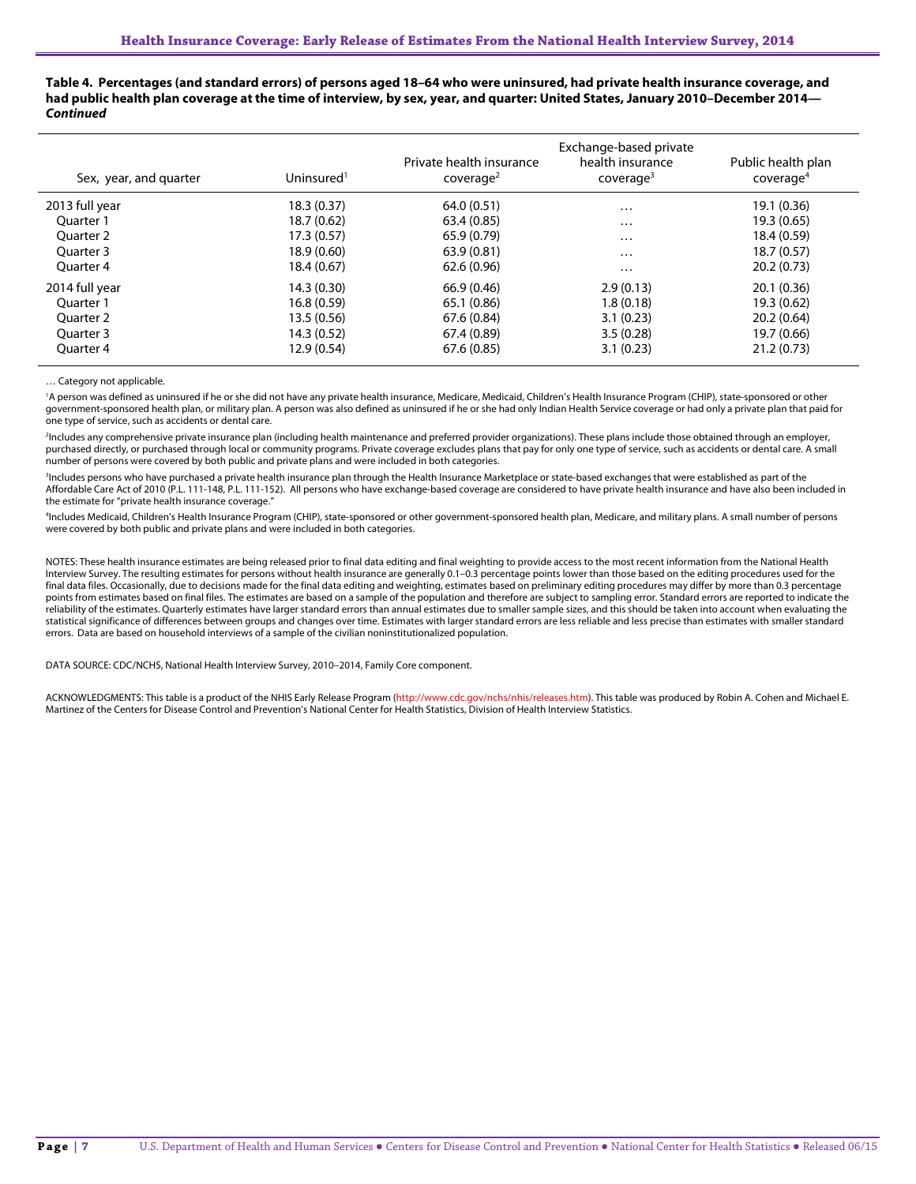**Table 4. Percentages (and standard errors) of persons aged 18–64 who were uninsured, had private health insurance coverage, and had public health plan coverage at the time of interview, by sex, year, and quarter: United States, January 2010–December 2014—** *Continued*

| Sex, year, and quarter | Uninsured <sup>1</sup> | Private health insurance<br>coverae <sup>2</sup> | Exchange-based private<br>health insurance<br>cover aq <sup>3</sup> | Public health plan<br>coverage <sup>4</sup> |
|------------------------|------------------------|--------------------------------------------------|---------------------------------------------------------------------|---------------------------------------------|
| 2013 full year         | 18.3(0.37)             | 64.0(0.51)                                       | $\cdots$                                                            | 19.1 (0.36)                                 |
| Ouarter 1              | 18.7(0.62)             | 63.4 (0.85)                                      | $\cdots$                                                            | 19.3 (0.65)                                 |
| Ouarter 2              | 17.3(0.57)             | 65.9 (0.79)                                      | $\cdots$                                                            | 18.4 (0.59)                                 |
| Quarter 3              | 18.9 (0.60)            | 63.9(0.81)                                       | $\cdots$                                                            | 18.7(0.57)                                  |
| Ouarter 4              | 18.4(0.67)             | 62.6(0.96)                                       | $\ddotsc$                                                           | 20.2(0.73)                                  |
| 2014 full year         | 14.3(0.30)             | 66.9 (0.46)                                      | 2.9(0.13)                                                           | 20.1(0.36)                                  |
| Ouarter 1              | 16.8(0.59)             | 65.1 (0.86)                                      | 1.8(0.18)                                                           | 19.3 (0.62)                                 |
| Ouarter 2              | 13.5(0.56)             | 67.6 (0.84)                                      | 3.1(0.23)                                                           | 20.2(0.64)                                  |
| Ouarter 3              | 14.3(0.52)             | 67.4 (0.89)                                      | 3.5(0.28)                                                           | 19.7 (0.66)                                 |
| Ouarter 4              | 12.9(0.54)             | 67.6 (0.85)                                      | 3.1(0.23)                                                           | 21.2(0.73)                                  |

… Category not applicable.

<sup>1</sup>A person was defined as uninsured if he or she did not have any private health insurance, Medicare, Medicaid, Children's Health Insurance Program (CHIP), state-sponsored or other government-sponsored health plan, or military plan. A person was also defined as uninsured if he or she had only Indian Health Service coverage or had only a private plan that paid for one type of service, such as accidents or dental care.

2 Includes any comprehensive private insurance plan (including health maintenance and preferred provider organizations). These plans include those obtained through an employer, purchased directly, or purchased through local or community programs. Private coverage excludes plans that pay for only one type of service, such as accidents or dental care. A small number of persons were covered by both public and private plans and were included in both categories.

<sup>3</sup>Includes persons who have purchased a private health insurance plan through the Health Insurance Marketplace or state-based exchanges that were established as part of the Affordable Care Act of 2010 (P.L. 111-148, P.L. 111-152). All persons who have exchange-based coverage are considered to have private health insurance and have also been included in the estimate for "private health insurance coverage."

4 Includes Medicaid, Children's Health Insurance Program (CHIP), state-sponsored or other government-sponsored health plan, Medicare, and military plans. A small number of persons were covered by both public and private plans and were included in both categories.

NOTES: These health insurance estimates are being released prior to final data editing and final weighting to provide access to the most recent information from the National Health Interview Survey. The resulting estimates for persons without health insurance are generally 0.1–0.3 percentage points lower than those based on the editing procedures used for the final data files. Occasionally, due to decisions made for the final data editing and weighting, estimates based on preliminary editing procedures may differ by more than 0.3 percentage points from estimates based on final files. The estimates are based on a sample of the population and therefore are subject to sampling error. Standard errors are reported to indicate the<br>reliability of the estimates. Quar statistical significance of differences between groups and changes over time. Estimates with larger standard errors are less reliable and less precise than estimates with smaller standard errors. Data are based on household interviews of a sample of the civilian noninstitutionalized population.

DATA SOURCE: CDC/NCHS, National Health Interview Survey, 2010–2014, Family Core component.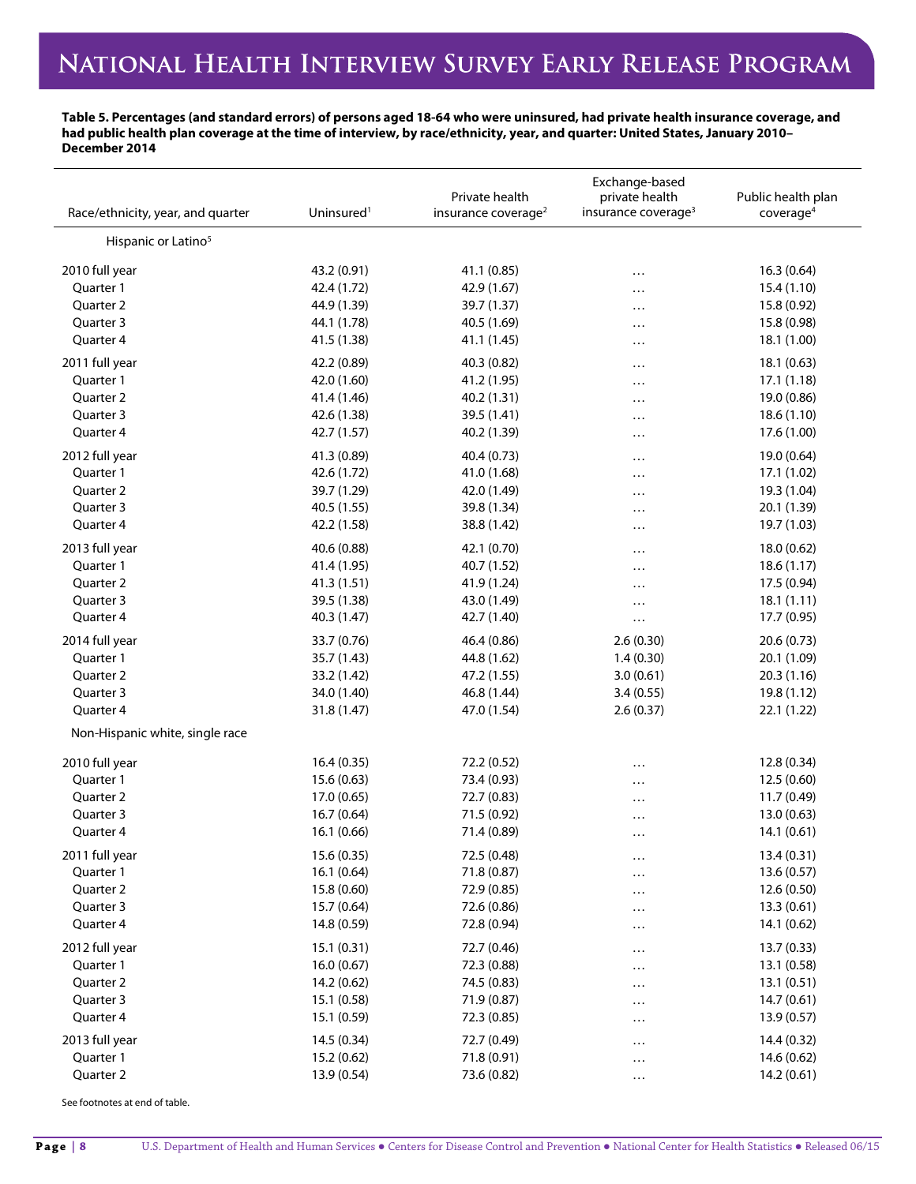### **Table 5. Percentages (and standard errors) of persons aged 18-64 who were uninsured, had private health insurance coverage, and had public health plan coverage at the time of interview, by race/ethnicity, year, and quarter: United States, January 2010– December 2014**

| Race/ethnicity, year, and quarter | Uninsured <sup>1</sup>     | Private health<br>insurance coverage <sup>2</sup> | Exchange-based<br>private health<br>insurance coverage <sup>3</sup> | Public health plan<br>coverage <sup>4</sup> |
|-----------------------------------|----------------------------|---------------------------------------------------|---------------------------------------------------------------------|---------------------------------------------|
| Hispanic or Latino <sup>5</sup>   |                            |                                                   |                                                                     |                                             |
| 2010 full year                    | 43.2 (0.91)                | 41.1 (0.85)                                       | $\cdots$                                                            | 16.3(0.64)                                  |
| Quarter 1                         | 42.4 (1.72)                | 42.9 (1.67)                                       | $\cdots$                                                            | 15.4(1.10)                                  |
| Quarter 2                         | 44.9 (1.39)                | 39.7 (1.37)                                       | $\cdots$                                                            | 15.8 (0.92)                                 |
| Quarter 3                         | 44.1 (1.78)                | 40.5 (1.69)                                       | $\cdots$                                                            | 15.8 (0.98)                                 |
| Quarter 4                         | 41.5 (1.38)                | 41.1 (1.45)                                       | $\cdots$                                                            | 18.1 (1.00)                                 |
| 2011 full year                    | 42.2 (0.89)                | 40.3 (0.82)                                       | $\cdots$                                                            | 18.1(0.63)                                  |
| Quarter 1                         | 42.0 (1.60)                | 41.2 (1.95)                                       | $\cdots$                                                            | 17.1(1.18)                                  |
| Quarter 2                         | 41.4 (1.46)                | 40.2 (1.31)                                       | $\cdots$                                                            | 19.0 (0.86)                                 |
| Quarter 3                         | 42.6 (1.38)                | 39.5 (1.41)                                       | $\cdots$                                                            | 18.6(1.10)                                  |
| Quarter 4                         | 42.7 (1.57)                | 40.2 (1.39)                                       | .                                                                   | 17.6 (1.00)                                 |
| 2012 full year                    | 41.3 (0.89)                | 40.4 (0.73)                                       | $\cdots$                                                            | 19.0 (0.64)                                 |
| Quarter 1                         | 42.6 (1.72)                | 41.0 (1.68)                                       | $\cdots$                                                            | 17.1 (1.02)                                 |
| Quarter 2                         | 39.7 (1.29)                | 42.0 (1.49)                                       | .                                                                   | 19.3 (1.04)                                 |
| Quarter 3                         | 40.5 (1.55)                | 39.8 (1.34)                                       | $\cdots$                                                            | 20.1 (1.39)                                 |
| Quarter 4                         | 42.2 (1.58)                | 38.8 (1.42)                                       | $\cdots$                                                            | 19.7 (1.03)                                 |
| 2013 full year                    | 40.6 (0.88)                | 42.1 (0.70)                                       | $\cdots$                                                            | 18.0 (0.62)                                 |
| Quarter 1                         | 41.4 (1.95)                | 40.7 (1.52)                                       | $\cdots$                                                            | 18.6(1.17)                                  |
| Quarter 2                         | 41.3 (1.51)                | 41.9 (1.24)                                       | .                                                                   | 17.5 (0.94)                                 |
| Quarter 3                         | 39.5 (1.38)                | 43.0 (1.49)                                       | $\cdots$                                                            | 18.1(1.11)                                  |
| Quarter 4                         | 40.3 (1.47)                | 42.7 (1.40)                                       | $\cdots$                                                            | 17.7 (0.95)                                 |
| 2014 full year                    | 33.7 (0.76)                | 46.4 (0.86)                                       | 2.6(0.30)                                                           | 20.6(0.73)                                  |
| Quarter 1                         | 35.7 (1.43)                | 44.8 (1.62)                                       | 1.4(0.30)                                                           | 20.1 (1.09)                                 |
| Quarter 2                         | 33.2 (1.42)                | 47.2 (1.55)                                       | 3.0(0.61)                                                           | 20.3(1.16)                                  |
| Quarter 3                         | 34.0 (1.40)                | 46.8 (1.44)                                       | 3.4(0.55)                                                           | 19.8 (1.12)                                 |
| Quarter 4                         | 31.8 (1.47)                | 47.0 (1.54)                                       | 2.6(0.37)                                                           | 22.1 (1.22)                                 |
| Non-Hispanic white, single race   |                            |                                                   |                                                                     |                                             |
| 2010 full year                    | 16.4(0.35)                 | 72.2 (0.52)                                       |                                                                     | 12.8 (0.34)                                 |
| Quarter 1                         | 15.6(0.63)                 | 73.4 (0.93)                                       |                                                                     | 12.5 (0.60)                                 |
| Quarter 2                         | 17.0 (0.65)                | 72.7 (0.83)                                       | $\cdots$<br>$\cdots$                                                | 11.7 (0.49)                                 |
| Quarter 3                         | 16.7 (0.64)                | 71.5 (0.92)                                       | $\cdots$                                                            | 13.0(0.63)                                  |
| Quarter 4                         | 16.1 (0.66)                | 71.4 (0.89)                                       | $\ddotsc$                                                           | 14.1 (0.61)                                 |
| 2011 full year                    | 15.6 (0.35)                | 72.5 (0.48)                                       |                                                                     | 13.4 (0.31)                                 |
| Quarter 1                         | 16.1 (0.64)                | 71.8 (0.87)                                       | $\cdots$                                                            | 13.6 (0.57)                                 |
| Quarter 2                         | 15.8 (0.60)                | 72.9 (0.85)                                       | $\cdots$<br>$\cdots$                                                | 12.6 (0.50)                                 |
| Quarter 3                         | 15.7 (0.64)                | 72.6 (0.86)                                       | $\cdots$                                                            | 13.3(0.61)                                  |
| Quarter 4                         | 14.8 (0.59)                | 72.8 (0.94)                                       | $\cdots$                                                            | 14.1 (0.62)                                 |
| 2012 full year                    |                            |                                                   |                                                                     |                                             |
| Quarter 1                         | 15.1 (0.31)<br>16.0(0.67)  | 72.7 (0.46)<br>72.3 (0.88)                        | $\cdots$                                                            | 13.7 (0.33)<br>13.1 (0.58)                  |
| Quarter 2                         |                            | 74.5 (0.83)                                       | .                                                                   |                                             |
| Quarter 3                         | 14.2 (0.62)<br>15.1 (0.58) | 71.9 (0.87)                                       | $\cdots$                                                            | 13.1(0.51)<br>14.7(0.61)                    |
| Quarter 4                         | 15.1 (0.59)                | 72.3 (0.85)                                       | .                                                                   | 13.9(0.57)                                  |
|                                   |                            |                                                   | $\cdots$                                                            |                                             |
| 2013 full year                    | 14.5 (0.34)                | 72.7 (0.49)                                       | $\cdots$                                                            | 14.4 (0.32)                                 |
| Quarter 1                         | 15.2 (0.62)                | 71.8 (0.91)                                       | $\cdots$                                                            | 14.6 (0.62)                                 |
| Quarter 2                         | 13.9 (0.54)                | 73.6 (0.82)                                       | $\cdots$                                                            | 14.2 (0.61)                                 |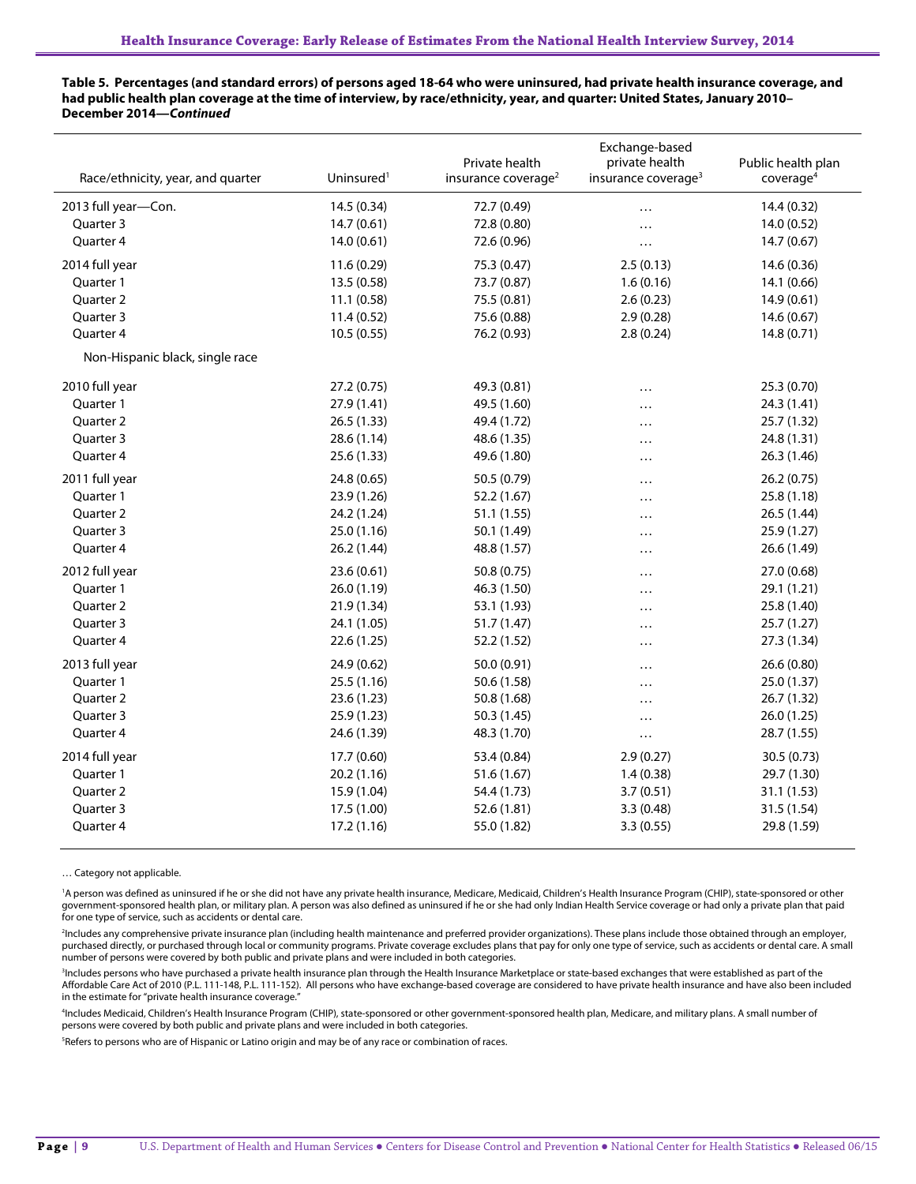### **Table 5. Percentages (and standard errors) of persons aged 18-64 who were uninsured, had private health insurance coverage, and had public health plan coverage at the time of interview, by race/ethnicity, year, and quarter: United States, January 2010– December 2014—***Continued*

| Race/ethnicity, year, and quarter | Uninsured <sup>1</sup> | Private health<br>insurance coverage <sup>2</sup> | Exchange-based<br>private health<br>insurance coverage <sup>3</sup> | Public health plan<br>coverage <sup>4</sup> |
|-----------------------------------|------------------------|---------------------------------------------------|---------------------------------------------------------------------|---------------------------------------------|
| 2013 full year-Con.               | 14.5 (0.34)            | 72.7 (0.49)                                       | .                                                                   | 14.4 (0.32)                                 |
| Quarter 3                         | 14.7(0.61)             | 72.8 (0.80)                                       | $\cdots$                                                            | 14.0 (0.52)                                 |
| Quarter 4                         | 14.0(0.61)             | 72.6 (0.96)                                       | $\cdots$                                                            | 14.7 (0.67)                                 |
| 2014 full year                    | 11.6 (0.29)            | 75.3 (0.47)                                       | 2.5(0.13)                                                           | 14.6 (0.36)                                 |
| Quarter 1                         | 13.5(0.58)             | 73.7 (0.87)                                       | 1.6(0.16)                                                           | 14.1 (0.66)                                 |
| Quarter 2                         | 11.1(0.58)             | 75.5 (0.81)                                       | 2.6(0.23)                                                           | 14.9 (0.61)                                 |
| Quarter 3                         | 11.4(0.52)             | 75.6 (0.88)                                       | 2.9(0.28)                                                           | 14.6 (0.67)                                 |
| Quarter 4                         | 10.5(0.55)             | 76.2 (0.93)                                       | 2.8(0.24)                                                           | 14.8(0.71)                                  |
| Non-Hispanic black, single race   |                        |                                                   |                                                                     |                                             |
| 2010 full year                    | 27.2 (0.75)            | 49.3 (0.81)                                       | $\cdots$                                                            | 25.3 (0.70)                                 |
| Quarter 1                         | 27.9 (1.41)            | 49.5 (1.60)                                       |                                                                     | 24.3 (1.41)                                 |
| Quarter 2                         | 26.5(1.33)             | 49.4 (1.72)                                       | .                                                                   | 25.7 (1.32)                                 |
| Quarter 3                         | 28.6 (1.14)            | 48.6 (1.35)                                       | .                                                                   | 24.8 (1.31)                                 |
| Quarter 4                         | 25.6 (1.33)            | 49.6 (1.80)                                       |                                                                     | 26.3 (1.46)                                 |
| 2011 full year                    | 24.8 (0.65)            | 50.5 (0.79)                                       | .                                                                   | 26.2(0.75)                                  |
| Quarter 1                         | 23.9 (1.26)            | 52.2 (1.67)                                       | .                                                                   | 25.8 (1.18)                                 |
| Quarter 2                         | 24.2 (1.24)            | 51.1 (1.55)                                       | $\cdots$                                                            | 26.5 (1.44)                                 |
| Quarter 3                         | 25.0 (1.16)            | 50.1 (1.49)                                       | $\cdots$                                                            | 25.9(1.27)                                  |
| Quarter 4                         | 26.2 (1.44)            | 48.8 (1.57)                                       |                                                                     | 26.6 (1.49)                                 |
| 2012 full year                    | 23.6(0.61)             | 50.8 (0.75)                                       | .                                                                   | 27.0 (0.68)                                 |
| Ouarter 1                         | 26.0 (1.19)            | 46.3 (1.50)                                       | .                                                                   | 29.1 (1.21)                                 |
| Quarter 2                         | 21.9(1.34)             | 53.1 (1.93)                                       | .                                                                   | 25.8 (1.40)                                 |
| Quarter 3                         | 24.1 (1.05)            | 51.7 (1.47)                                       | .                                                                   | 25.7 (1.27)                                 |
| Quarter 4                         | 22.6 (1.25)            | 52.2 (1.52)                                       | .                                                                   | 27.3 (1.34)                                 |
| 2013 full year                    | 24.9 (0.62)            | 50.0 (0.91)                                       | .                                                                   | 26.6(0.80)                                  |
| Quarter 1                         | 25.5(1.16)             | 50.6 (1.58)                                       | .                                                                   | 25.0 (1.37)                                 |
| Quarter 2                         | 23.6 (1.23)            | 50.8 (1.68)                                       |                                                                     | 26.7 (1.32)                                 |
| Quarter 3                         | 25.9(1.23)             | 50.3 (1.45)                                       | .                                                                   | 26.0 (1.25)                                 |
| Quarter 4                         | 24.6 (1.39)            | 48.3 (1.70)                                       | $\cdots$                                                            | 28.7 (1.55)                                 |
| 2014 full year                    | 17.7 (0.60)            | 53.4 (0.84)                                       | 2.9(0.27)                                                           | 30.5 (0.73)                                 |
| Quarter 1                         | 20.2(1.16)             | 51.6 (1.67)                                       | 1.4(0.38)                                                           | 29.7 (1.30)                                 |
| Quarter 2                         | 15.9 (1.04)            | 54.4 (1.73)                                       | 3.7(0.51)                                                           | 31.1(1.53)                                  |
| Quarter 3                         | 17.5 (1.00)            | 52.6(1.81)                                        | 3.3(0.48)                                                           | 31.5 (1.54)                                 |
| Quarter 4                         | 17.2 (1.16)            | 55.0 (1.82)                                       | 3.3(0.55)                                                           | 29.8 (1.59)                                 |

… Category not applicable.

<sup>1</sup>A person was defined as uninsured if he or she did not have any private health insurance, Medicare, Medicaid, Children's Health Insurance Program (CHIP), state-sponsored or other government-sponsored health plan, or military plan. A person was also defined as uninsured if he or she had only Indian Health Service coverage or had only a private plan that paid for one type of service, such as accidents or dental care.

2 Includes any comprehensive private insurance plan (including health maintenance and preferred provider organizations). These plans include those obtained through an employer, purchased directly, or purchased through local or community programs. Private coverage excludes plans that pay for only one type of service, such as accidents or dental care. A small number of persons were covered by both public and private plans and were included in both categories.

<sup>3</sup>Includes persons who have purchased a private health insurance plan through the Health Insurance Marketplace or state-based exchanges that were established as part of the Affordable Care Act of 2010 (P.L. 111-148, P.L. 111-152). All persons who have exchange-based coverage are considered to have private health insurance and have also been included in the estimate for "private health insurance coverage."

4 Includes Medicaid, Children's Health Insurance Program (CHIP), state-sponsored or other government-sponsored health plan, Medicare, and military plans. A small number of persons were covered by both public and private plans and were included in both categories.

5 Refers to persons who are of Hispanic or Latino origin and may be of any race or combination of races.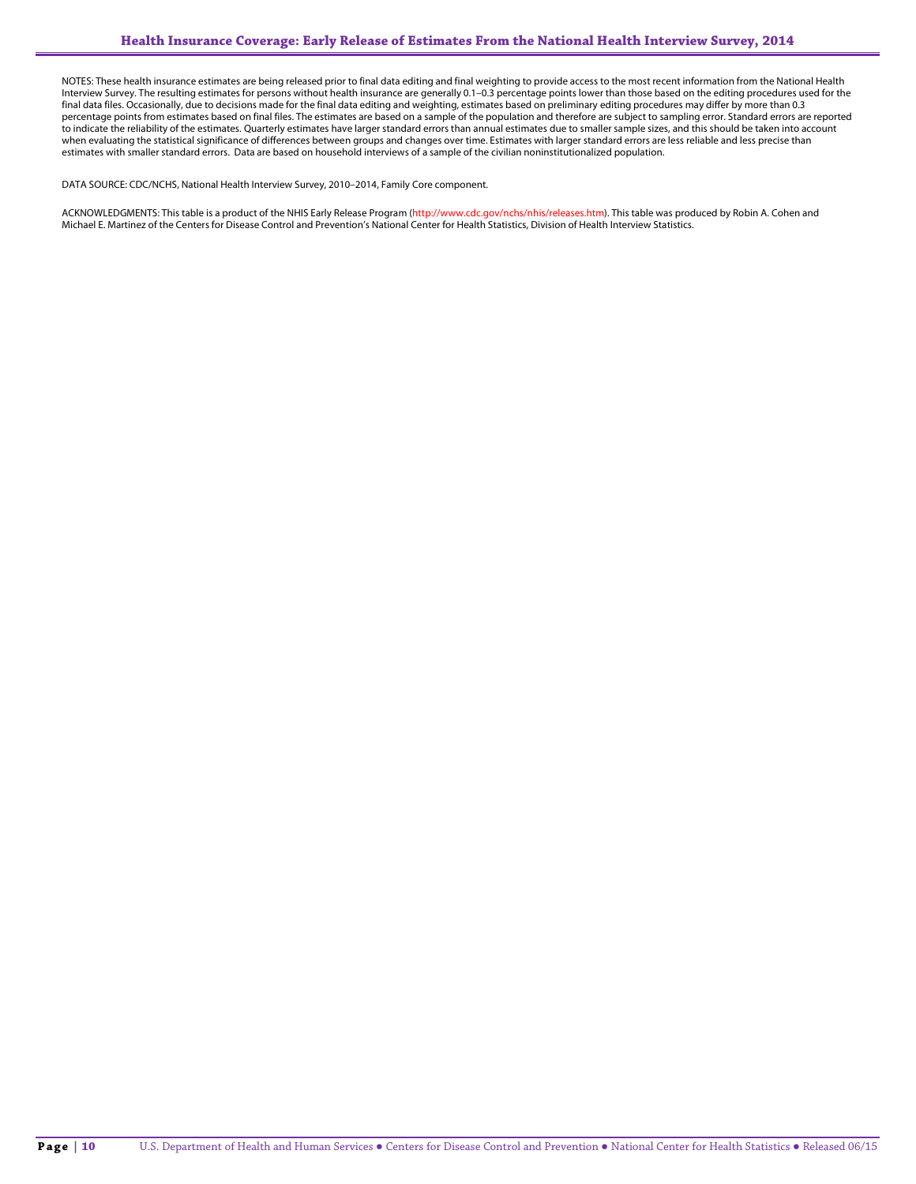NOTES: These health insurance estimates are being released prior to final data editing and final weighting to provide access to the most recent information from the National Health Interview Survey. The resulting estimates for persons without health insurance are generally 0.1–0.3 percentage points lower than those based on the editing procedures used for the final data files. Occasionally, due to decisions made for the final data editing and weighting, estimates based on preliminary editing procedures may differ by more than 0.3 percentage points from estimates based on final files. The estimates are based on a sample of the population and therefore are subject to sampling error. Standard errors are reported to indicate the reliability of the estimates. Quarterly estimates have larger standard errors than annual estimates due to smaller sample sizes, and this should be taken into account when evaluating the statistical significance of differences between groups and changes over time. Estimates with larger standard errors are less reliable and less precise than estimates with smaller standard errors. Data are based on household interviews of a sample of the civilian noninstitutionalized population.

DATA SOURCE: CDC/NCHS, National Health Interview Survey, 2010–2014, Family Core component.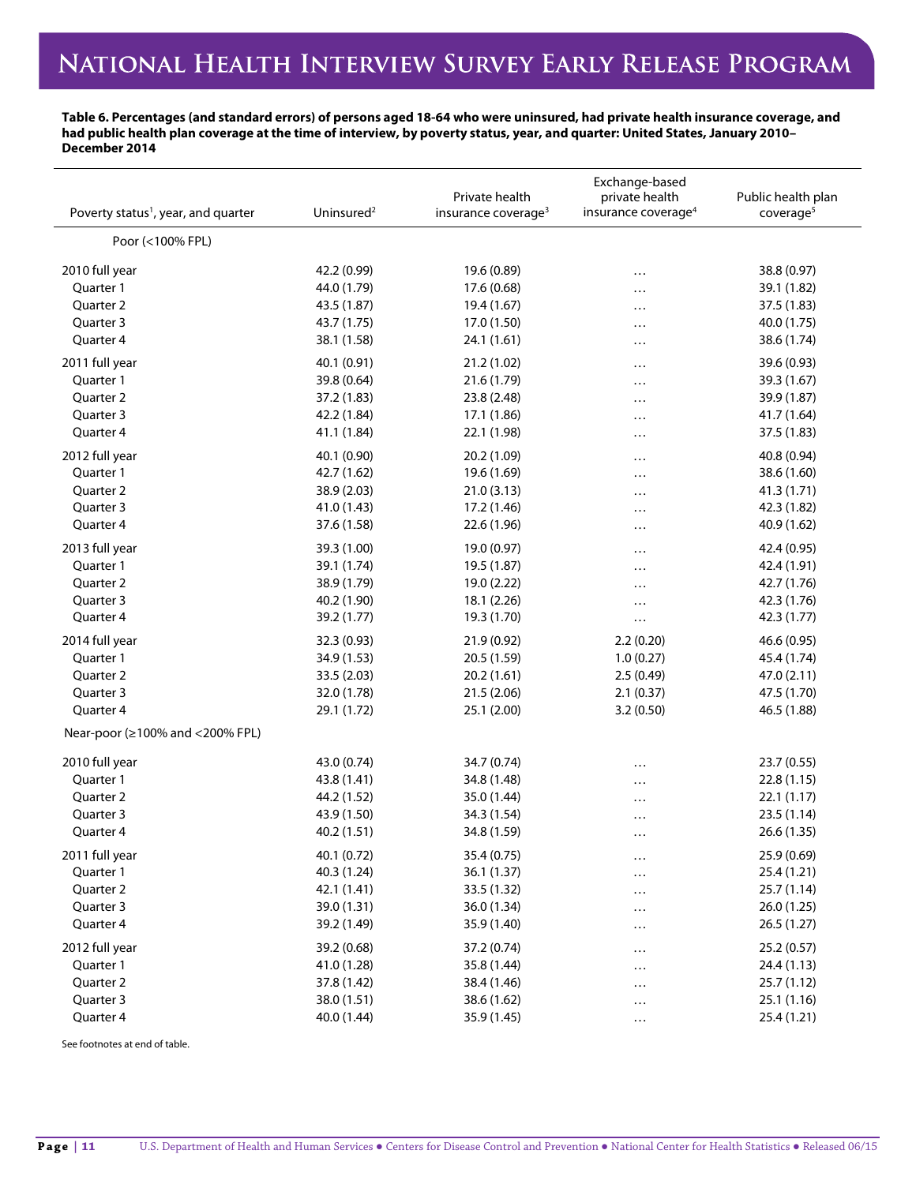### **Table 6. Percentages (and standard errors) of persons aged 18-64 who were uninsured, had private health insurance coverage, and had public health plan coverage at the time of interview, by poverty status, year, and quarter: United States, January 2010– December 2014**

| Poverty status <sup>1</sup> , year, and quarter                                                       | Uninsured <sup>2</sup>                                                  | Private health<br>insurance coverage <sup>3</sup>                     | Exchange-based<br>private health<br>insurance coverage <sup>4</sup> | Public health plan<br>coverage <sup>5</sup>                             |
|-------------------------------------------------------------------------------------------------------|-------------------------------------------------------------------------|-----------------------------------------------------------------------|---------------------------------------------------------------------|-------------------------------------------------------------------------|
| Poor (<100% FPL)                                                                                      |                                                                         |                                                                       |                                                                     |                                                                         |
| 2010 full year                                                                                        | 42.2 (0.99)                                                             | 19.6 (0.89)                                                           | .                                                                   | 38.8 (0.97)                                                             |
| Quarter 1                                                                                             | 44.0 (1.79)                                                             | 17.6 (0.68)                                                           | .                                                                   | 39.1 (1.82)                                                             |
| Quarter 2                                                                                             | 43.5 (1.87)                                                             | 19.4 (1.67)                                                           |                                                                     | 37.5 (1.83)                                                             |
| Quarter 3                                                                                             | 43.7 (1.75)                                                             | 17.0 (1.50)                                                           |                                                                     | 40.0 (1.75)                                                             |
| Quarter 4                                                                                             | 38.1 (1.58)                                                             | 24.1 (1.61)                                                           |                                                                     | 38.6 (1.74)                                                             |
| 2011 full year                                                                                        | 40.1 (0.91)                                                             | 21.2 (1.02)                                                           |                                                                     | 39.6 (0.93)                                                             |
| Quarter 1                                                                                             | 39.8 (0.64)                                                             | 21.6 (1.79)                                                           |                                                                     | 39.3 (1.67)                                                             |
| Quarter 2                                                                                             | 37.2 (1.83)                                                             | 23.8 (2.48)                                                           |                                                                     | 39.9 (1.87)                                                             |
| Quarter 3                                                                                             | 42.2 (1.84)                                                             | 17.1 (1.86)                                                           | .                                                                   | 41.7 (1.64)                                                             |
| Quarter 4                                                                                             | 41.1 (1.84)                                                             | 22.1 (1.98)                                                           |                                                                     | 37.5 (1.83)                                                             |
| 2012 full year                                                                                        | 40.1 (0.90)                                                             | 20.2 (1.09)                                                           | $\cdots$                                                            | 40.8 (0.94)                                                             |
| Quarter 1                                                                                             | 42.7 (1.62)                                                             | 19.6 (1.69)                                                           | .                                                                   | 38.6 (1.60)                                                             |
| Quarter 2                                                                                             | 38.9 (2.03)                                                             | 21.0(3.13)                                                            |                                                                     | 41.3 (1.71)                                                             |
| Quarter 3                                                                                             | 41.0 (1.43)                                                             | 17.2 (1.46)                                                           |                                                                     | 42.3 (1.82)                                                             |
| Quarter 4                                                                                             | 37.6 (1.58)                                                             | 22.6 (1.96)                                                           |                                                                     | 40.9 (1.62)                                                             |
| 2013 full year                                                                                        | 39.3 (1.00)                                                             | 19.0 (0.97)                                                           |                                                                     | 42.4 (0.95)                                                             |
| Quarter 1                                                                                             | 39.1 (1.74)                                                             | 19.5 (1.87)                                                           |                                                                     | 42.4 (1.91)                                                             |
| Quarter 2                                                                                             | 38.9 (1.79)                                                             | 19.0 (2.22)                                                           | .                                                                   | 42.7 (1.76)                                                             |
| Quarter 3                                                                                             | 40.2 (1.90)                                                             | 18.1 (2.26)                                                           |                                                                     | 42.3 (1.76)                                                             |
| Quarter 4                                                                                             | 39.2 (1.77)                                                             | 19.3 (1.70)                                                           | $\cdots$                                                            | 42.3 (1.77)                                                             |
| 2014 full year<br>Quarter 1<br>Quarter 2<br>Quarter 3<br>Quarter 4<br>Near-poor (≥100% and <200% FPL) | 32.3 (0.93)<br>34.9 (1.53)<br>33.5 (2.03)<br>32.0 (1.78)<br>29.1 (1.72) | 21.9(0.92)<br>20.5 (1.59)<br>20.2 (1.61)<br>21.5(2.06)<br>25.1 (2.00) | 2.2(0.20)<br>1.0(0.27)<br>2.5(0.49)<br>2.1(0.37)<br>3.2(0.50)       | 46.6 (0.95)<br>45.4 (1.74)<br>47.0 (2.11)<br>47.5 (1.70)<br>46.5 (1.88) |
| 2010 full year                                                                                        | 43.0 (0.74)                                                             | 34.7 (0.74)                                                           | $\cdots$                                                            | 23.7 (0.55)                                                             |
| Quarter 1                                                                                             | 43.8 (1.41)                                                             | 34.8 (1.48)                                                           | .                                                                   | 22.8(1.15)                                                              |
| Quarter 2                                                                                             | 44.2 (1.52)                                                             | 35.0 (1.44)                                                           | .                                                                   | 22.1(1.17)                                                              |
| Quarter 3                                                                                             | 43.9 (1.50)                                                             | 34.3 (1.54)                                                           |                                                                     | 23.5(1.14)                                                              |
| Quarter 4                                                                                             | 40.2 (1.51)                                                             | 34.8 (1.59)                                                           | $\cdots$                                                            | 26.6 (1.35)                                                             |
| 2011 full year                                                                                        | 40.1 (0.72)                                                             | 35.4 (0.75)                                                           | $\cdots$                                                            | 25.9 (0.69)                                                             |
| Quarter 1                                                                                             | 40.3 (1.24)                                                             | 36.1 (1.37)                                                           | $\cdots$                                                            | 25.4 (1.21)                                                             |
| Quarter 2                                                                                             | 42.1 (1.41)                                                             | 33.5 (1.32)                                                           |                                                                     | 25.7 (1.14)                                                             |
| Quarter 3                                                                                             | 39.0 (1.31)                                                             | 36.0 (1.34)                                                           |                                                                     | 26.0 (1.25)                                                             |
| Quarter 4                                                                                             | 39.2 (1.49)                                                             | 35.9 (1.40)                                                           |                                                                     | 26.5 (1.27)                                                             |
| 2012 full year                                                                                        | 39.2 (0.68)                                                             | 37.2 (0.74)                                                           |                                                                     | 25.2 (0.57)                                                             |
| Quarter 1                                                                                             | 41.0 (1.28)                                                             | 35.8 (1.44)                                                           |                                                                     | 24.4 (1.13)                                                             |
| Quarter 2                                                                                             | 37.8 (1.42)                                                             | 38.4 (1.46)                                                           |                                                                     | 25.7(1.12)                                                              |
| Quarter 3                                                                                             | 38.0 (1.51)                                                             | 38.6 (1.62)                                                           |                                                                     | 25.1(1.16)                                                              |
| Quarter 4                                                                                             | 40.0 (1.44)                                                             | 35.9 (1.45)                                                           |                                                                     | 25.4 (1.21)                                                             |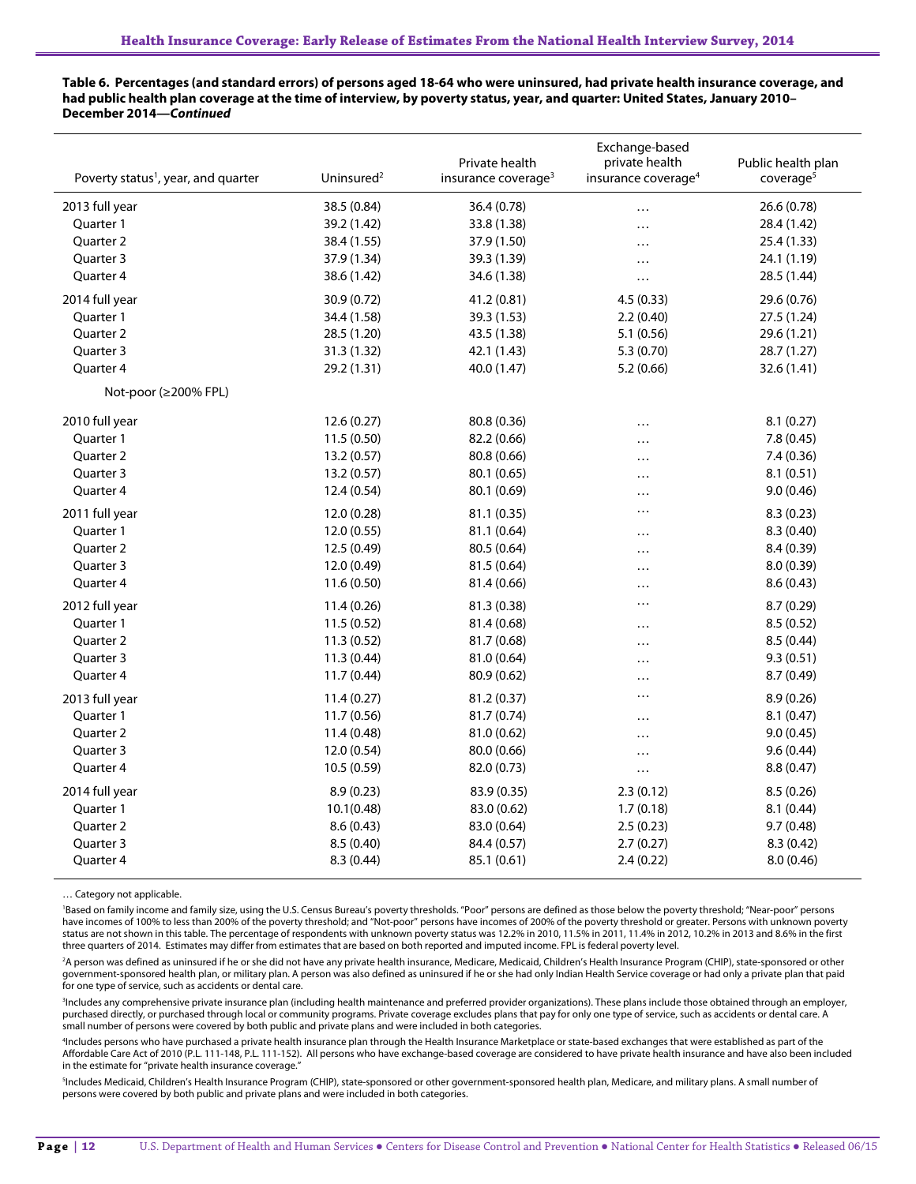**Table 6. Percentages (and standard errors) of persons aged 18-64 who were uninsured, had private health insurance coverage, and had public health plan coverage at the time of interview, by poverty status, year, and quarter: United States, January 2010– December 2014—***Continued*

| Poverty status <sup>1</sup> , year, and quarter | Uninsured <sup>2</sup> | Private health<br>insurance coverage <sup>3</sup> | Exchange-based<br>private health<br>insurance coverage <sup>4</sup> | Public health plan<br>coverage <sup>5</sup> |
|-------------------------------------------------|------------------------|---------------------------------------------------|---------------------------------------------------------------------|---------------------------------------------|
| 2013 full year                                  | 38.5 (0.84)            | 36.4 (0.78)                                       | $\cdots$                                                            | 26.6 (0.78)                                 |
| Quarter 1                                       | 39.2 (1.42)            | 33.8 (1.38)                                       | $\cdots$                                                            | 28.4 (1.42)                                 |
| Quarter 2                                       | 38.4 (1.55)            | 37.9 (1.50)                                       | .                                                                   | 25.4 (1.33)                                 |
| Quarter 3                                       | 37.9 (1.34)            | 39.3 (1.39)                                       | $\cdots$                                                            | 24.1 (1.19)                                 |
| Quarter 4                                       | 38.6 (1.42)            | 34.6 (1.38)                                       | $\cdots$                                                            | 28.5 (1.44)                                 |
| 2014 full year                                  | 30.9 (0.72)            | 41.2 (0.81)                                       | 4.5(0.33)                                                           | 29.6 (0.76)                                 |
| Quarter 1                                       | 34.4 (1.58)            | 39.3 (1.53)                                       | 2.2(0.40)                                                           | 27.5 (1.24)                                 |
| Quarter 2                                       | 28.5 (1.20)            | 43.5 (1.38)                                       | 5.1(0.56)                                                           | 29.6 (1.21)                                 |
| Quarter 3                                       | 31.3 (1.32)            | 42.1 (1.43)                                       | 5.3 (0.70)                                                          | 28.7 (1.27)                                 |
| Quarter 4                                       | 29.2 (1.31)            | 40.0 (1.47)                                       | 5.2(0.66)                                                           | 32.6 (1.41)                                 |
| Not-poor ( $\geq$ 200% FPL)                     |                        |                                                   |                                                                     |                                             |
| 2010 full year                                  | 12.6(0.27)             | 80.8 (0.36)                                       | $\cdots$                                                            | 8.1(0.27)                                   |
| Quarter 1                                       | 11.5 (0.50)            | 82.2 (0.66)                                       | $\cdots$                                                            | 7.8 (0.45)                                  |
| Quarter 2                                       | 13.2 (0.57)            | 80.8 (0.66)                                       | .                                                                   | 7.4 (0.36)                                  |
| Quarter 3                                       | 13.2(0.57)             | 80.1 (0.65)                                       | $\cdots$                                                            | 8.1(0.51)                                   |
| Quarter 4                                       | 12.4 (0.54)            | 80.1 (0.69)                                       | $\cdots$                                                            | 9.0(0.46)                                   |
| 2011 full year                                  | 12.0 (0.28)            | 81.1 (0.35)                                       | .                                                                   | 8.3(0.23)                                   |
| Quarter 1                                       | 12.0 (0.55)            | 81.1 (0.64)                                       | $\cdots$                                                            | 8.3 (0.40)                                  |
| Quarter 2                                       | 12.5 (0.49)            | 80.5 (0.64)                                       | .                                                                   | 8.4 (0.39)                                  |
| Quarter 3                                       | 12.0 (0.49)            | 81.5 (0.64)                                       |                                                                     | 8.0 (0.39)                                  |
| Quarter 4                                       | 11.6(0.50)             | 81.4 (0.66)                                       |                                                                     | 8.6(0.43)                                   |
| 2012 full year                                  | 11.4(0.26)             | 81.3 (0.38)                                       |                                                                     | 8.7 (0.29)                                  |
| Quarter 1                                       | 11.5 (0.52)            | 81.4 (0.68)                                       |                                                                     | 8.5 (0.52)                                  |
| Quarter 2                                       | 11.3(0.52)             | 81.7 (0.68)                                       | .                                                                   | 8.5(0.44)                                   |
| Quarter 3                                       | 11.3(0.44)             | 81.0 (0.64)                                       | $\cdots$                                                            | 9.3(0.51)                                   |
| Quarter 4                                       | 11.7 (0.44)            | 80.9 (0.62)                                       | $\cdots$                                                            | 8.7 (0.49)                                  |
| 2013 full year                                  | 11.4(0.27)             | 81.2 (0.37)                                       | .                                                                   | 8.9(0.26)                                   |
| Quarter 1                                       | 11.7 (0.56)            | 81.7 (0.74)                                       | $\cdots$                                                            | 8.1(0.47)                                   |
| Quarter 2                                       | 11.4 (0.48)            | 81.0 (0.62)                                       | .                                                                   | 9.0(0.45)                                   |
| Quarter 3                                       | 12.0(0.54)             | 80.0 (0.66)                                       | $\cdots$                                                            | 9.6(0.44)                                   |
| Quarter 4                                       | 10.5 (0.59)            | 82.0 (0.73)                                       | $\cdots$                                                            | 8.8(0.47)                                   |
| 2014 full year                                  | 8.9(0.23)              | 83.9 (0.35)                                       | 2.3(0.12)                                                           | 8.5(0.26)                                   |
| Quarter 1                                       | 10.1(0.48)             | 83.0 (0.62)                                       | 1.7(0.18)                                                           | 8.1(0.44)                                   |
| Quarter 2                                       | 8.6(0.43)              | 83.0 (0.64)                                       | 2.5(0.23)                                                           | 9.7(0.48)                                   |
| Quarter 3                                       | 8.5(0.40)              | 84.4 (0.57)                                       | 2.7(0.27)                                                           | 8.3(0.42)                                   |
| Quarter 4                                       | 8.3(0.44)              | 85.1 (0.61)                                       | 2.4(0.22)                                                           | 8.0 (0.46)                                  |

… Category not applicable.

'Based on family income and family size, using the U.S. Census Bureau's poverty thresholds. "Poor" persons are defined as those below the poverty threshold; "Near-poor" persons have incomes of 100% to less than 200% of the poverty threshold; and "Not-poor" persons have incomes of 200% of the poverty threshold or greater. Persons with unknown poverty status are not shown in this table. The percentage of respondents with unknown poverty status was 12.2% in 2010, 11.5% in 2011, 11.4% in 2012, 10.2% in 2013 and 8.6% in the first three quarters of 2014. Estimates may differ from estimates that are based on both reported and imputed income. FPL is federal poverty level.

<sup>2</sup>A person was defined as uninsured if he or she did not have any private health insurance, Medicare, Medicaid, Children's Health Insurance Program (CHIP), state-sponsored or other government-sponsored health plan, or military plan. A person was also defined as uninsured if he or she had only Indian Health Service coverage or had only a private plan that paid for one type of service, such as accidents or dental care.

<sup>3</sup>Includes any comprehensive private insurance plan (including health maintenance and preferred provider organizations). These plans include those obtained through an employer, purchased directly, or purchased through local or community programs. Private coverage excludes plans that pay for only one type of service, such as accidents or dental care. A small number of persons were covered by both public and private plans and were included in both categories.

4 Includes persons who have purchased a private health insurance plan through the Health Insurance Marketplace or state-based exchanges that were established as part of the Affordable Care Act of 2010 (P.L. 111-148, P.L. 111-152). All persons who have exchange-based coverage are considered to have private health insurance and have also been included in the estimate for "private health insurance coverage."

<sup>5</sup>Includes Medicaid, Children's Health Insurance Program (CHIP), state-sponsored or other government-sponsored health plan, Medicare, and military plans. A small number of persons were covered by both public and private plans and were included in both categories.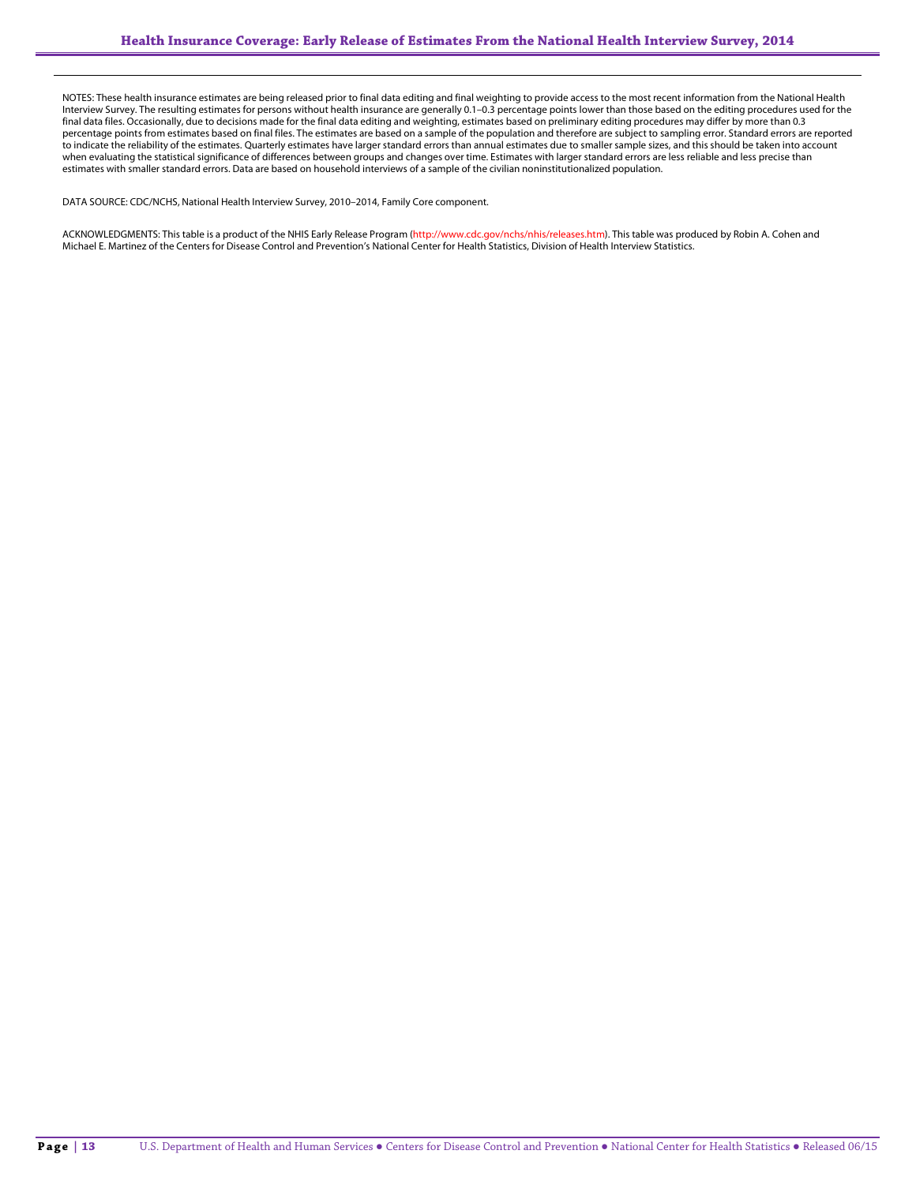NOTES: These health insurance estimates are being released prior to final data editing and final weighting to provide access to the most recent information from the National Health Interview Survey. The resulting estimates for persons without health insurance are generally 0.1–0.3 percentage points lower than those based on the editing procedures used for the final data files. Occasionally, due to decisions made for the final data editing and weighting, estimates based on preliminary editing procedures may differ by more than 0.3 percentage points from estimates based on final files. The estimates are based on a sample of the population and therefore are subject to sampling error. Standard errors are reported to indicate the reliability of the estimates. Quarterly estimates have larger standard errors than annual estimates due to smaller sample sizes, and this should be taken into account when evaluating the statistical significance of differences between groups and changes over time. Estimates with larger standard errors are less reliable and less precise than estimates with smaller standard errors. Data are based on household interviews of a sample of the civilian noninstitutionalized population.

DATA SOURCE: CDC/NCHS, National Health Interview Survey, 2010–2014, Family Core component.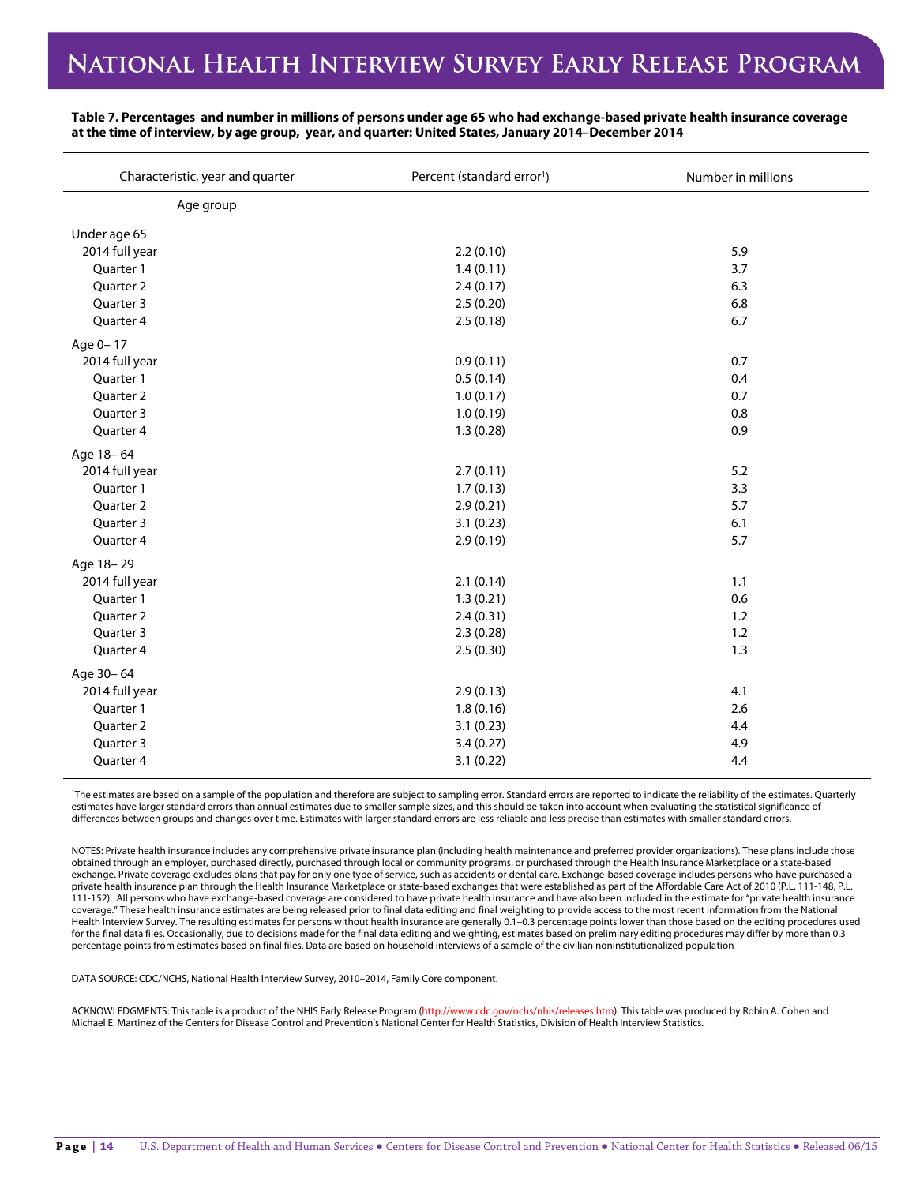| Characteristic, year and quarter | Percent (standard error <sup>1</sup> ) | Number in millions |
|----------------------------------|----------------------------------------|--------------------|
| Age group                        |                                        |                    |
| Under age 65                     |                                        |                    |
| 2014 full year                   | 2.2(0.10)                              | 5.9                |
| Quarter 1                        | 1.4(0.11)                              | 3.7                |
| Quarter 2                        | 2.4(0.17)                              | 6.3                |
| Quarter 3                        | 2.5(0.20)                              | 6.8                |
| Quarter 4                        | 2.5(0.18)                              | 6.7                |
| Age 0-17                         |                                        |                    |
| 2014 full year                   | 0.9(0.11)                              | 0.7                |
| Quarter 1                        | 0.5(0.14)                              | 0.4                |
| Quarter 2                        | 1.0(0.17)                              | 0.7                |
| Quarter 3                        | 1.0(0.19)                              | 0.8                |
| Quarter 4                        | 1.3(0.28)                              | 0.9                |
| Age 18-64                        |                                        |                    |
| 2014 full year                   | 2.7(0.11)                              | 5.2                |
| Quarter 1                        | 1.7(0.13)                              | 3.3                |
| Quarter 2                        | 2.9(0.21)                              | 5.7                |
| Quarter 3                        | 3.1(0.23)                              | 6.1                |
| Quarter 4                        | 2.9(0.19)                              | 5.7                |
| Age 18-29                        |                                        |                    |
| 2014 full year                   | 2.1(0.14)                              | 1.1                |
| Quarter 1                        | 1.3(0.21)                              | 0.6                |
| Quarter 2                        | 2.4(0.31)                              | 1.2                |
| Quarter 3                        | 2.3(0.28)                              | 1.2                |
| Quarter 4                        | 2.5(0.30)                              | 1.3                |
| Age 30-64                        |                                        |                    |
| 2014 full year                   | 2.9(0.13)                              | 4.1                |
| Quarter 1                        | 1.8(0.16)                              | 2.6                |
| Quarter 2                        | 3.1(0.23)                              | 4.4                |
| Quarter 3                        | 3.4(0.27)                              | 4.9                |
| Quarter 4                        | 3.1(0.22)                              | 4.4                |

**Table 7. Percentages and number in millions of persons under age 65 who had exchange-based private health insurance coverage at the time of interview, by age group, year, and quarter: United States, January 2014–December 2014**

1 The estimates are based on a sample of the population and therefore are subject to sampling error. Standard errors are reported to indicate the reliability of the estimates. Quarterly estimates have larger standard errors than annual estimates due to smaller sample sizes, and this should be taken into account when evaluating the statistical significance of differences between groups and changes over time. Estimates with larger standard errors are less reliable and less precise than estimates with smaller standard errors.

NOTES: Private health insurance includes any comprehensive private insurance plan (including health maintenance and preferred provider organizations). These plans include those obtained through an employer, purchased directly, purchased through local or community programs, or purchased through the Health Insurance Marketplace or a state-based exchange. Private coverage excludes plans that pay for only one type of service, such as accidents or dental care. Exchange-based coverage includes persons who have purchased a private health insurance plan through the Health Insurance Marketplace or state-based exchanges that were established as part of the Affordable Care Act of 2010 (P.L. 111-148, P.L. 111-152). All persons who have exchange-based coverage are considered to have private health insurance and have also been included in the estimate for "private health insurance coverage." These health insurance estimates are being released prior to final data editing and final weighting to provide access to the most recent information from the National Health Interview Survey. The resulting estimates for persons without health insurance are generally 0.1–0.3 percentage points lower than those based on the editing procedures used for the final data files. Occasionally, due to decisions made for the final data editing and weighting, estimates based on preliminary editing procedures may differ by more than 0.3 percentage points from estimates based on final files. Data are based on household interviews of a sample of the civilian noninstitutionalized population

DATA SOURCE: CDC/NCHS, National Health Interview Survey, 2010–2014, Family Core component.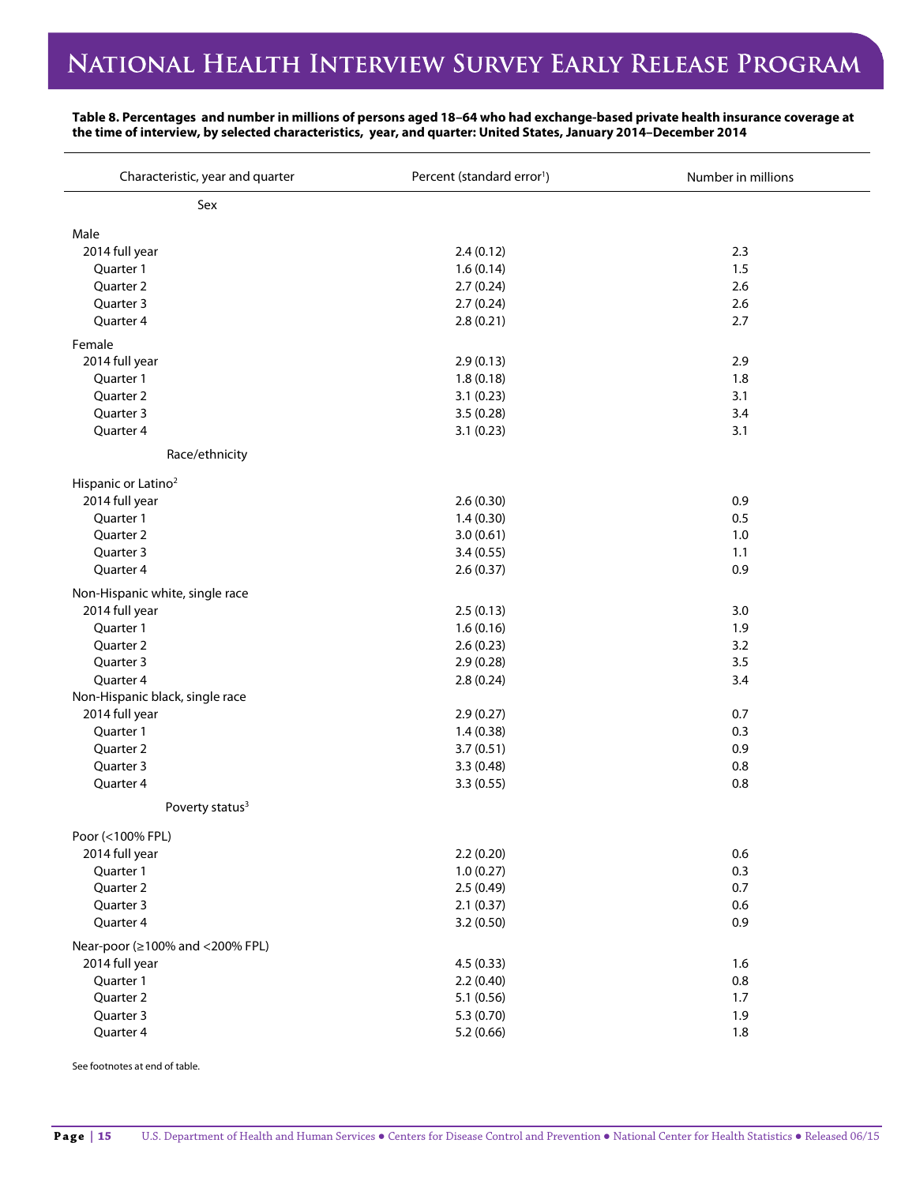### **Table 8. Percentages and number in millions of persons aged 18–64 who had exchange-based private health insurance coverage at the time of interview, by selected characteristics, year, and quarter: United States, January 2014–December 2014**

| Characteristic, year and quarter | Percent (standard error <sup>1</sup> ) | Number in millions |
|----------------------------------|----------------------------------------|--------------------|
| Sex                              |                                        |                    |
| Male                             |                                        |                    |
| 2014 full year                   | 2.4(0.12)                              | 2.3                |
| Quarter 1                        | 1.6(0.14)                              | 1.5                |
| Quarter 2                        | 2.7(0.24)                              | 2.6                |
| Quarter 3                        | 2.7(0.24)                              | 2.6                |
| Quarter 4                        | 2.8(0.21)                              | 2.7                |
| Female                           |                                        |                    |
| 2014 full year                   | 2.9(0.13)                              | 2.9                |
| Quarter 1                        | 1.8(0.18)                              | 1.8                |
| Quarter 2                        | 3.1(0.23)                              | 3.1                |
| Quarter 3                        | 3.5(0.28)                              | 3.4                |
| Quarter 4                        | 3.1(0.23)                              | 3.1                |
| Race/ethnicity                   |                                        |                    |
| Hispanic or Latino <sup>2</sup>  |                                        |                    |
| 2014 full year                   | 2.6(0.30)                              | 0.9                |
| Quarter 1                        | 1.4(0.30)                              | 0.5                |
| Quarter 2                        | 3.0(0.61)                              | 1.0                |
| Quarter 3                        | 3.4(0.55)                              | 1.1                |
| Quarter 4                        | 2.6(0.37)                              | 0.9                |
| Non-Hispanic white, single race  |                                        |                    |
| 2014 full year                   | 2.5(0.13)                              | 3.0                |
| Quarter 1                        | 1.6(0.16)                              | 1.9                |
| Quarter 2                        | 2.6(0.23)                              | 3.2                |
| Quarter 3                        | 2.9(0.28)                              | 3.5                |
| Quarter 4                        | 2.8(0.24)                              | 3.4                |
| Non-Hispanic black, single race  |                                        |                    |
| 2014 full year                   | 2.9(0.27)                              | 0.7                |
| Quarter 1                        | 1.4(0.38)                              | 0.3                |
| Quarter 2                        | 3.7(0.51)                              | 0.9                |
| Quarter 3                        | 3.3(0.48)                              | 0.8                |
| Quarter 4                        | 3.3(0.55)                              | 0.8                |
| Poverty status <sup>3</sup>      |                                        |                    |
| Poor (<100% FPL)                 |                                        |                    |
| 2014 full year                   | 2.2(0.20)                              | 0.6                |
| Quarter 1                        | 1.0(0.27)                              | 0.3                |
| Quarter 2                        | 2.5(0.49)                              | 0.7                |
| Quarter 3                        | 2.1(0.37)                              | 0.6                |
| Quarter 4                        | 3.2(0.50)                              | 0.9                |
| Near-poor (≥100% and <200% FPL)  |                                        |                    |
| 2014 full year                   | 4.5(0.33)                              | 1.6                |
| Quarter 1                        | 2.2(0.40)                              | 0.8                |
| Quarter 2                        | 5.1(0.56)                              | 1.7                |
| Quarter 3                        | 5.3(0.70)                              | 1.9                |
| Quarter 4                        | 5.2(0.66)                              | 1.8                |